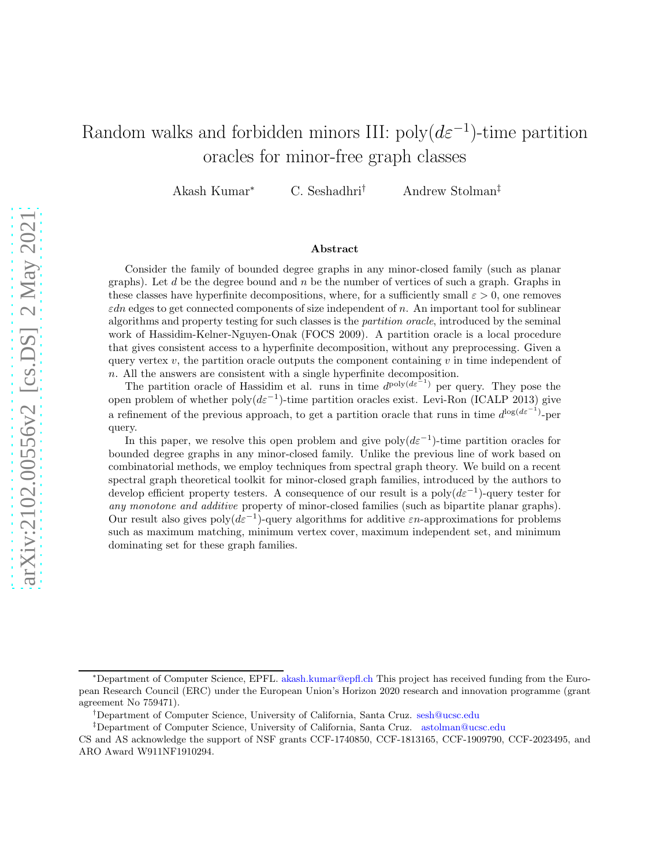# Random walks and forbidden minors III:  $poly(d\varepsilon^{-1})$ -time partition oracles for minor-free graph classes

Akash Kumar<sup>∗</sup> C. Seshadhri† Andrew Stolman‡

#### Abstract

Consider the family of bounded degree graphs in any minor-closed family (such as planar graphs). Let d be the degree bound and  $n$  be the number of vertices of such a graph. Graphs in these classes have hyperfinite decompositions, where, for a sufficiently small  $\varepsilon > 0$ , one removes  $\varepsilon$ dn edges to get connected components of size independent of n. An important tool for sublinear algorithms and property testing for such classes is the partition oracle, introduced by the seminal work of Hassidim-Kelner-Nguyen-Onak (FOCS 2009). A partition oracle is a local procedure that gives consistent access to a hyperfinite decomposition, without any preprocessing. Given a query vertex v, the partition oracle outputs the component containing v in time independent of n. All the answers are consistent with a single hyperfinite decomposition.

The partition oracle of Hassidim et al. runs in time  $d^{\text{poly}(d\varepsilon^{-1})}$  per query. They pose the open problem of whether  $poly(d\varepsilon^{-1})$ -time partition oracles exist. Levi-Ron (ICALP 2013) give a refinement of the previous approach, to get a partition oracle that runs in time  $d^{\log(d\varepsilon^{-1})}$ -per query.

In this paper, we resolve this open problem and give poly $(d\varepsilon^{-1})$ -time partition oracles for bounded degree graphs in any minor-closed family. Unlike the previous line of work based on combinatorial methods, we employ techniques from spectral graph theory. We build on a recent spectral graph theoretical toolkit for minor-closed graph families, introduced by the authors to develop efficient property testers. A consequence of our result is a  $poly(d\varepsilon^{-1})$ -query tester for any monotone and additive property of minor-closed families (such as bipartite planar graphs). Our result also gives  $poly(d\varepsilon^{-1})$ -query algorithms for additive  $\varepsilon n$ -approximations for problems such as maximum matching, minimum vertex cover, maximum independent set, and minimum dominating set for these graph families.

<sup>∗</sup>Department of Computer Science, EPFL. [akash.kumar@epfl.ch](mailto:akash.kumar@epfl.ch) This project has received funding from the European Research Council (ERC) under the European Union's Horizon 2020 research and innovation programme (grant agreement No 759471).

<sup>†</sup>Department of Computer Science, University of California, Santa Cruz. [sesh@ucsc.edu](mailto:sesh@ucsc.edu)

<sup>‡</sup>Department of Computer Science, University of California, Santa Cruz. [astolman@ucsc.edu](mailto:astolman@ucsc.edu)

CS and AS acknowledge the support of NSF grants CCF-1740850, CCF-1813165, CCF-1909790, CCF-2023495, and ARO Award W911NF1910294.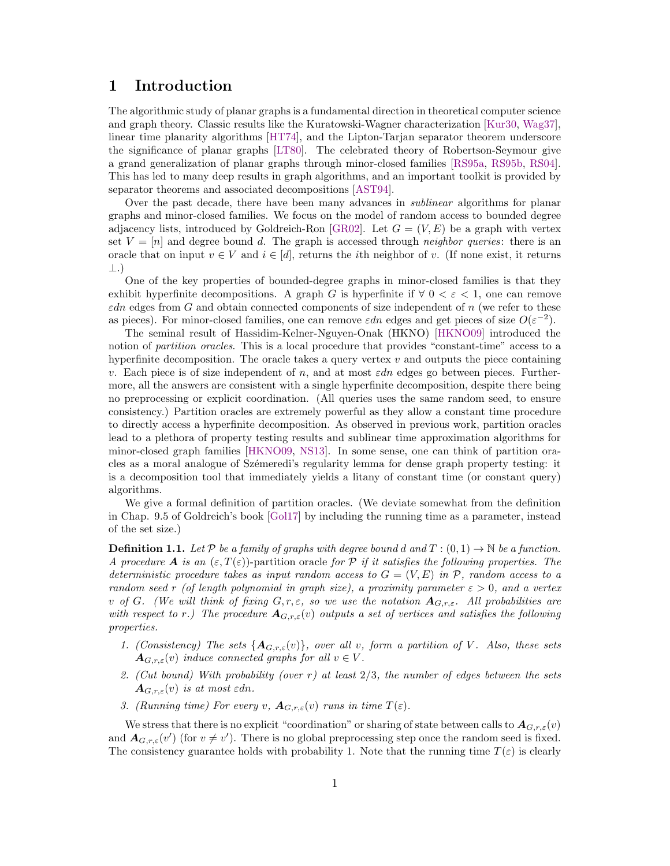### <span id="page-1-1"></span>1 Introduction

The algorithmic study of planar graphs is a fundamental direction in theoretical computer science and graph theory. Classic results like the Kuratowski-Wagner characterization [\[Kur30,](#page-29-0) [Wag37\]](#page-29-1), linear time planarity algorithms [\[HT74\]](#page-29-2), and the Lipton-Tarjan separator theorem underscore the significance of planar graphs [\[LT80\]](#page-29-3). The celebrated theory of Robertson-Seymour give a grand generalization of planar graphs through minor-closed families [\[RS95a,](#page-29-4) [RS95b,](#page-29-5) [RS04\]](#page-29-6). This has led to many deep results in graph algorithms, and an important toolkit is provided by separator theorems and associated decompositions [\[AST94\]](#page-28-0).

Over the past decade, there have been many advances in *sublinear* algorithms for planar graphs and minor-closed families. We focus on the model of random access to bounded degree adjacency lists, introduced by Goldreich-Ron [\[GR02\]](#page-29-7). Let  $G = (V, E)$  be a graph with vertex set  $V = [n]$  and degree bound d. The graph is accessed through neighbor queries: there is an oracle that on input  $v \in V$  and  $i \in [d]$ , returns the *i*th neighbor of v. (If none exist, it returns ⊥.)

One of the key properties of bounded-degree graphs in minor-closed families is that they exhibit hyperfinite decompositions. A graph G is hyperfinite if  $\forall$  0 <  $\varepsilon$  < 1, one can remove  $\varepsilon$ dn edges from G and obtain connected components of size independent of n (we refer to these as pieces). For minor-closed families, one can remove  $\varepsilon dn$  edges and get pieces of size  $O(\varepsilon^{-2})$ .

The seminal result of Hassidim-Kelner-Nguyen-Onak (HKNO) [\[HKNO09\]](#page-29-8) introduced the notion of partition oracles. This is a local procedure that provides "constant-time" access to a hyperfinite decomposition. The oracle takes a query vertex  $v$  and outputs the piece containing v. Each piece is of size independent of n, and at most  $\epsilon dn$  edges go between pieces. Furthermore, all the answers are consistent with a single hyperfinite decomposition, despite there being no preprocessing or explicit coordination. (All queries uses the same random seed, to ensure consistency.) Partition oracles are extremely powerful as they allow a constant time procedure to directly access a hyperfinite decomposition. As observed in previous work, partition oracles lead to a plethora of property testing results and sublinear time approximation algorithms for minor-closed graph families [\[HKNO09,](#page-29-8) [NS13\]](#page-29-9). In some sense, one can think of partition oracles as a moral analogue of Szémeredi's regularity lemma for dense graph property testing: it is a decomposition tool that immediately yields a litany of constant time (or constant query) algorithms.

We give a formal definition of partition oracles. (We deviate somewhat from the definition in Chap. 9.5 of Goldreich's book [\[Gol17\]](#page-29-10) by including the running time as a parameter, instead of the set size.)

<span id="page-1-0"></span>**Definition 1.1.** Let P be a family of graphs with degree bound d and  $T : (0,1) \rightarrow \mathbb{N}$  be a function. A procedure A is an  $(\varepsilon, T(\varepsilon))$ -partition oracle for P if it satisfies the following properties. The deterministic procedure takes as input random access to  $G = (V, E)$  in  $\mathcal{P}$ , random access to a random seed r (of length polynomial in graph size), a proximity parameter  $\varepsilon > 0$ , and a vertex v of G. (We will think of fixing  $G, r, \varepsilon$ , so we use the notation  $A_{G,r,\varepsilon}$ . All probabilities are with respect to r.) The procedure  $A_{G,r,\varepsilon}(v)$  outputs a set of vertices and satisfies the following properties.

- 1. (Consistency) The sets  $\{A_{G,r,\varepsilon}(v)\}\$ , over all v, form a partition of V. Also, these sets  $\mathbf{A}_{G,r,\varepsilon}(v)$  induce connected graphs for all  $v \in V$ .
- 2. (Cut bound) With probability (over  $r$ ) at least  $2/3$ , the number of edges between the sets  $A_{G,r,\varepsilon}(v)$  is at most  $\varepsilon dn$ .
- 3. (Running time) For every v,  $A_{G,r,\varepsilon}(v)$  runs in time  $T(\varepsilon)$ .

We stress that there is no explicit "coordination" or sharing of state between calls to  $A_{G,r,\varepsilon}(v)$ and  $A_{G,r,\varepsilon}(v')$  (for  $v \neq v'$ ). There is no global preprocessing step once the random seed is fixed. The consistency guarantee holds with probability 1. Note that the running time  $T(\varepsilon)$  is clearly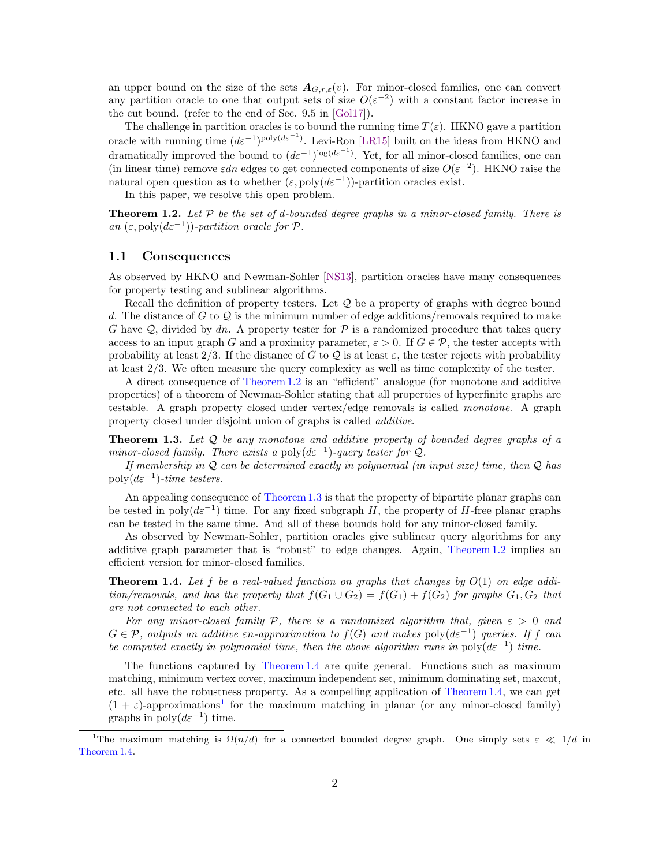<span id="page-2-4"></span>an upper bound on the size of the sets  $A_{G,r,\varepsilon}(v)$ . For minor-closed families, one can convert any partition oracle to one that output sets of size  $O(\varepsilon^{-2})$  with a constant factor increase in the cut bound. (refer to the end of Sec. 9.5 in [\[Gol17\]](#page-29-10)).

The challenge in partition oracles is to bound the running time  $T(\varepsilon)$ . HKNO gave a partition oracle with running time  $(d\varepsilon^{-1})^{\text{poly}(d\varepsilon^{-1})}$ . Levi-Ron [\[LR15\]](#page-29-11) built on the ideas from HKNO and dramatically improved the bound to  $(d\varepsilon^{-1})^{\log(d\varepsilon^{-1})}$ . Yet, for all minor-closed families, one can (in linear time) remove  $\varepsilon dn$  edges to get connected components of size  $O(\varepsilon^{-2})$ . HKNO raise the natural open question as to whether  $(\varepsilon, \text{poly}(d\varepsilon^{-1}))$ -partition oracles exist.

In this paper, we resolve this open problem.

<span id="page-2-0"></span>**Theorem 1.2.** Let  $P$  be the set of d-bounded degree graphs in a minor-closed family. There is an  $(\varepsilon, \text{poly}(d\varepsilon^{-1}))$ -partition oracle for  $\mathcal{P}$ .

#### 1.1 Consequences

As observed by HKNO and Newman-Sohler [\[NS13\]](#page-29-9), partition oracles have many consequences for property testing and sublinear algorithms.

Recall the definition of property testers. Let  $\mathcal Q$  be a property of graphs with degree bound d. The distance of G to Q is the minimum number of edge additions/removals required to make G have  $\mathcal{Q}$ , divided by dn. A property tester for  $\mathcal{P}$  is a randomized procedure that takes query access to an input graph G and a proximity parameter,  $\varepsilon > 0$ . If  $G \in \mathcal{P}$ , the tester accepts with probability at least  $2/3$ . If the distance of G to Q is at least  $\varepsilon$ , the tester rejects with probability at least 2/3. We often measure the query complexity as well as time complexity of the tester.

A direct consequence of [Theorem 1.2](#page-2-0) is an "efficient" analogue (for monotone and additive properties) of a theorem of Newman-Sohler stating that all properties of hyperfinite graphs are testable. A graph property closed under vertex/edge removals is called monotone. A graph property closed under disjoint union of graphs is called additive.

<span id="page-2-1"></span>**Theorem 1.3.** Let  $Q$  be any monotone and additive property of bounded degree graphs of a minor-closed family. There exists a poly $(d\varepsilon^{-1})$ -query tester for  $Q$ .

If membership in  $Q$  can be determined exactly in polynomial (in input size) time, then  $Q$  has  $\text{poly}(d\varepsilon^{-1})\text{-}time \text{ }tests.$ 

An appealing consequence of [Theorem 1.3](#page-2-1) is that the property of bipartite planar graphs can be tested in  $\text{poly}(d\varepsilon^{-1})$  time. For any fixed subgraph H, the property of H-free planar graphs can be tested in the same time. And all of these bounds hold for any minor-closed family.

As observed by Newman-Sohler, partition oracles give sublinear query algorithms for any additive graph parameter that is "robust" to edge changes. Again, [Theorem 1.2](#page-2-0) implies an efficient version for minor-closed families.

<span id="page-2-2"></span>**Theorem 1.4.** Let f be a real-valued function on graphs that changes by  $O(1)$  on edge addition/removals, and has the property that  $f(G_1 \cup G_2) = f(G_1) + f(G_2)$  for graphs  $G_1, G_2$  that are not connected to each other.

For any minor-closed family P, there is a randomized algorithm that, given  $\varepsilon > 0$  and  $G \in \mathcal{P}$ , outputs an additive  $\varepsilon_n$ -approximation to  $f(G)$  and makes  $\text{poly}(d\varepsilon^{-1})$  queries. If f can be computed exactly in polynomial time, then the above algorithm runs in  $poly(d\varepsilon^{-1})$  time.

The functions captured by [Theorem 1.4](#page-2-2) are quite general. Functions such as maximum matching, minimum vertex cover, maximum independent set, minimum dominating set, maxcut, etc. all have the robustness property. As a compelling application of [Theorem 1.4,](#page-2-2) we can get  $(1 + \varepsilon)$  $(1 + \varepsilon)$  $(1 + \varepsilon)$ -approximations<sup>1</sup> for the maximum matching in planar (or any minor-closed family) graphs in  $\text{poly}(d\varepsilon^{-1})$  time.

<span id="page-2-3"></span><sup>&</sup>lt;sup>1</sup>The maximum matching is  $\Omega(n/d)$  for a connected bounded degree graph. One simply sets  $\varepsilon \ll 1/d$  in [Theorem 1.4.](#page-2-2)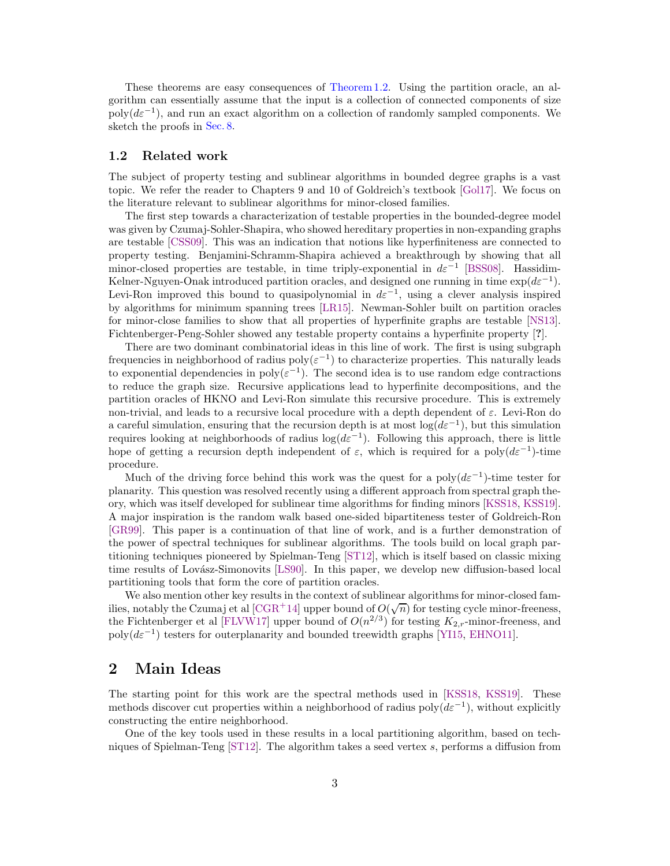<span id="page-3-0"></span>These theorems are easy consequences of [Theorem 1.2.](#page-2-0) Using the partition oracle, an algorithm can essentially assume that the input is a collection of connected components of size  $poly(d\varepsilon^{-1})$ , and run an exact algorithm on a collection of randomly sampled components. We sketch the proofs in [Sec. 8.](#page-27-0)

#### 1.2 Related work

The subject of property testing and sublinear algorithms in bounded degree graphs is a vast topic. We refer the reader to Chapters 9 and 10 of Goldreich's textbook [\[Gol17\]](#page-29-10). We focus on the literature relevant to sublinear algorithms for minor-closed families.

The first step towards a characterization of testable properties in the bounded-degree model was given by Czumaj-Sohler-Shapira, who showed hereditary properties in non-expanding graphs are testable [\[CSS09\]](#page-28-1). This was an indication that notions like hyperfiniteness are connected to property testing. Benjamini-Schramm-Shapira achieved a breakthrough by showing that all minor-closed properties are testable, in time triply-exponential in  $d\varepsilon^{-1}$  [\[BSS08\]](#page-28-2). Hassidim-Kelner-Nguyen-Onak introduced partition oracles, and designed one running in time  $\exp(d\varepsilon^{-1})$ . Levi-Ron improved this bound to quasipolynomial in  $d\varepsilon^{-1}$ , using a clever analysis inspired by algorithms for minimum spanning trees [\[LR15\]](#page-29-11). Newman-Sohler built on partition oracles for minor-close families to show that all properties of hyperfinite graphs are testable [\[NS13\]](#page-29-9). Fichtenberger-Peng-Sohler showed any testable property contains a hyperfinite property [?].

There are two dominant combinatorial ideas in this line of work. The first is using subgraph frequencies in neighborhood of radius  $poly(\varepsilon^{-1})$  to characterize properties. This naturally leads to exponential dependencies in  $\text{poly}(\varepsilon^{-1})$ . The second idea is to use random edge contractions to reduce the graph size. Recursive applications lead to hyperfinite decompositions, and the partition oracles of HKNO and Levi-Ron simulate this recursive procedure. This is extremely non-trivial, and leads to a recursive local procedure with a depth dependent of  $\varepsilon$ . Levi-Ron do a careful simulation, ensuring that the recursion depth is at most  $log(d\varepsilon^{-1})$ , but this simulation requires looking at neighborhoods of radius  $log(d\varepsilon^{-1})$ . Following this approach, there is little hope of getting a recursion depth independent of  $\varepsilon$ , which is required for a poly $(d\varepsilon^{-1})$ -time procedure.

Much of the driving force behind this work was the quest for a  $poly(d\varepsilon^{-1})$ -time tester for planarity. This question was resolved recently using a different approach from spectral graph theory, which was itself developed for sublinear time algorithms for finding minors [\[KSS18,](#page-29-12) [KSS19\]](#page-29-13). A major inspiration is the random walk based one-sided bipartiteness tester of Goldreich-Ron [\[GR99\]](#page-29-14). This paper is a continuation of that line of work, and is a further demonstration of the power of spectral techniques for sublinear algorithms. The tools build on local graph partitioning techniques pioneered by Spielman-Teng [\[ST12\]](#page-29-15), which is itself based on classic mixing time results of Lovász-Simonovits [\[LS90\]](#page-29-16). In this paper, we develop new diffusion-based local partitioning tools that form the core of partition oracles.

We also mention other key results in the context of sublinear algorithms for minor-closed fam-ilies, notably the Czumaj et al [\[CGR](#page-28-3)+14] upper bound of  $O(\sqrt{n})$  for testing cycle minor-freeness, the Fichtenberger et al [\[FLVW17\]](#page-29-17) upper bound of  $O(n^{2/3})$  for testing  $K_{2,r}$ -minor-freeness, and  $poly(d\varepsilon^{-1})$  testers for outerplanarity and bounded treewidth graphs [\[YI15,](#page-30-0) [EHNO11\]](#page-28-4).

### 2 Main Ideas

The starting point for this work are the spectral methods used in [\[KSS18,](#page-29-12) [KSS19\]](#page-29-13). These methods discover cut properties within a neighborhood of radius poly $(d\varepsilon^{-1})$ , without explicitly constructing the entire neighborhood.

One of the key tools used in these results in a local partitioning algorithm, based on techniques of Spielman-Teng [\[ST12\]](#page-29-15). The algorithm takes a seed vertex s, performs a diffusion from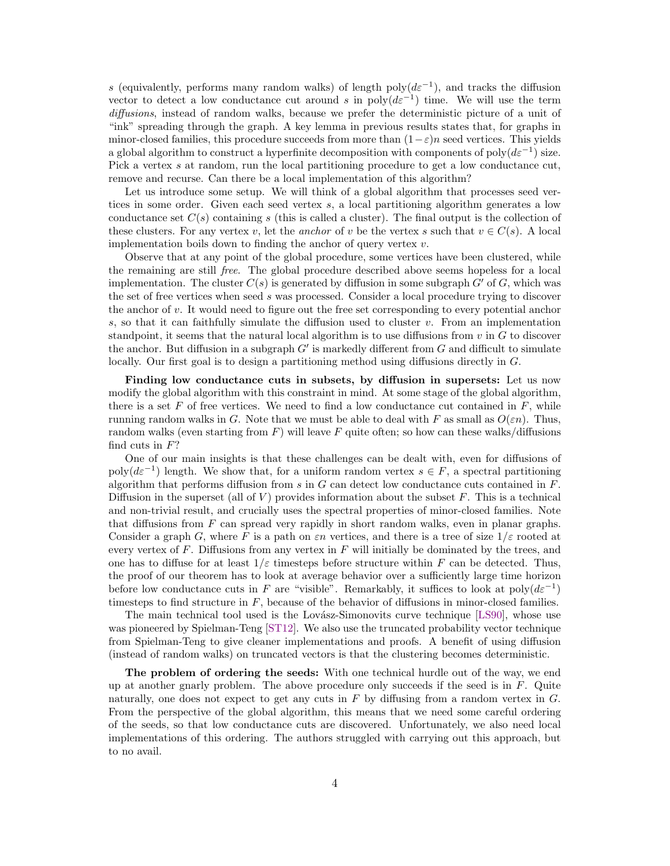<span id="page-4-0"></span>s (equivalently, performs many random walks) of length poly $(d\varepsilon^{-1})$ , and tracks the diffusion vector to detect a low conductance cut around s in  $\text{poly}(d\varepsilon^{-1})$  time. We will use the term diffusions, instead of random walks, because we prefer the deterministic picture of a unit of "ink" spreading through the graph. A key lemma in previous results states that, for graphs in minor-closed families, this procedure succeeds from more than  $(1-\varepsilon)n$  seed vertices. This yields a global algorithm to construct a hyperfinite decomposition with components of poly $(d\varepsilon^{-1})$  size. Pick a vertex s at random, run the local partitioning procedure to get a low conductance cut, remove and recurse. Can there be a local implementation of this algorithm?

Let us introduce some setup. We will think of a global algorithm that processes seed vertices in some order. Given each seed vertex s, a local partitioning algorithm generates a low conductance set  $C(s)$  containing s (this is called a cluster). The final output is the collection of these clusters. For any vertex v, let the anchor of v be the vertex s such that  $v \in C(s)$ . A local implementation boils down to finding the anchor of query vertex  $v$ .

Observe that at any point of the global procedure, some vertices have been clustered, while the remaining are still free. The global procedure described above seems hopeless for a local implementation. The cluster  $C(s)$  is generated by diffusion in some subgraph G' of G, which was the set of free vertices when seed s was processed. Consider a local procedure trying to discover the anchor of v. It would need to figure out the free set corresponding to every potential anchor s, so that it can faithfully simulate the diffusion used to cluster  $v$ . From an implementation standpoint, it seems that the natural local algorithm is to use diffusions from  $v$  in  $G$  to discover the anchor. But diffusion in a subgraph  $G'$  is markedly different from  $G$  and difficult to simulate locally. Our first goal is to design a partitioning method using diffusions directly in  $G$ .

Finding low conductance cuts in subsets, by diffusion in supersets: Let us now modify the global algorithm with this constraint in mind. At some stage of the global algorithm, there is a set F of free vertices. We need to find a low conductance cut contained in  $F$ , while running random walks in G. Note that we must be able to deal with F as small as  $O(\varepsilon n)$ . Thus, random walks (even starting from  $F$ ) will leave  $F$  quite often; so how can these walks/diffusions find cuts in  $F$ ?

One of our main insights is that these challenges can be dealt with, even for diffusions of poly $(d\varepsilon^{-1})$  length. We show that, for a uniform random vertex  $s \in F$ , a spectral partitioning algorithm that performs diffusion from s in  $G$  can detect low conductance cuts contained in  $F$ . Diffusion in the superset (all of  $V$ ) provides information about the subset  $F$ . This is a technical and non-trivial result, and crucially uses the spectral properties of minor-closed families. Note that diffusions from  $F$  can spread very rapidly in short random walks, even in planar graphs. Consider a graph G, where F is a path on  $\epsilon n$  vertices, and there is a tree of size  $1/\epsilon$  rooted at every vertex of F. Diffusions from any vertex in F will initially be dominated by the trees, and one has to diffuse for at least  $1/\varepsilon$  timesteps before structure within F can be detected. Thus, the proof of our theorem has to look at average behavior over a sufficiently large time horizon before low conductance cuts in F are "visible". Remarkably, it suffices to look at  $poly(d\varepsilon^{-1})$ timesteps to find structure in  $F$ , because of the behavior of diffusions in minor-closed families.

The main technical tool used is the Lovász-Simonovits curve technique [\[LS90\]](#page-29-16), whose use was pioneered by Spielman-Teng [\[ST12\]](#page-29-15). We also use the truncated probability vector technique from Spielman-Teng to give cleaner implementations and proofs. A benefit of using diffusion (instead of random walks) on truncated vectors is that the clustering becomes deterministic.

The problem of ordering the seeds: With one technical hurdle out of the way, we end up at another gnarly problem. The above procedure only succeeds if the seed is in  $F$ . Quite naturally, one does not expect to get any cuts in  $F$  by diffusing from a random vertex in  $G$ . From the perspective of the global algorithm, this means that we need some careful ordering of the seeds, so that low conductance cuts are discovered. Unfortunately, we also need local implementations of this ordering. The authors struggled with carrying out this approach, but to no avail.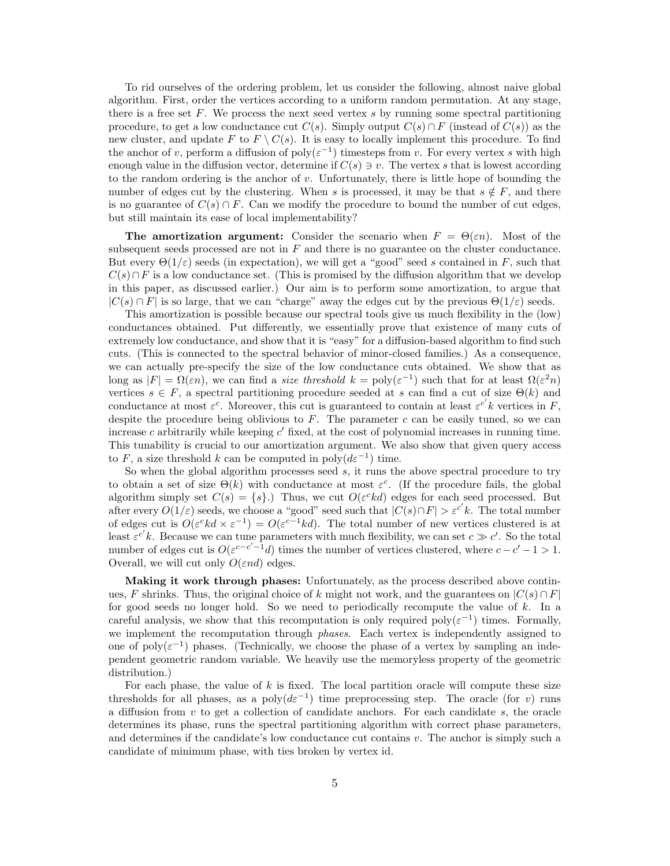To rid ourselves of the ordering problem, let us consider the following, almost naive global algorithm. First, order the vertices according to a uniform random permutation. At any stage, there is a free set  $F$ . We process the next seed vertex  $s$  by running some spectral partitioning procedure, to get a low conductance cut  $C(s)$ . Simply output  $C(s) \cap F$  (instead of  $C(s)$ ) as the new cluster, and update F to  $F \setminus C(s)$ . It is easy to locally implement this procedure. To find the anchor of v, perform a diffusion of  $\text{poly}(\varepsilon^{-1})$  timesteps from v. For every vertex s with high enough value in the diffusion vector, determine if  $C(s) \ni v$ . The vertex s that is lowest according to the random ordering is the anchor of  $v$ . Unfortunately, there is little hope of bounding the number of edges cut by the clustering. When s is processed, it may be that  $s \notin F$ , and there is no guarantee of  $C(s) \cap F$ . Can we modify the procedure to bound the number of cut edges, but still maintain its ease of local implementability?

**The amortization argument:** Consider the scenario when  $F = \Theta(\varepsilon n)$ . Most of the subsequent seeds processed are not in F and there is no guarantee on the cluster conductance. But every  $\Theta(1/\varepsilon)$  seeds (in expectation), we will get a "good" seed s contained in F, such that  $C(s) \cap F$  is a low conductance set. (This is promised by the diffusion algorithm that we develop in this paper, as discussed earlier.) Our aim is to perform some amortization, to argue that  $|C(s) \cap F|$  is so large, that we can "charge" away the edges cut by the previous  $\Theta(1/\varepsilon)$  seeds.

This amortization is possible because our spectral tools give us much flexibility in the (low) conductances obtained. Put differently, we essentially prove that existence of many cuts of extremely low conductance, and show that it is "easy" for a diffusion-based algorithm to find such cuts. (This is connected to the spectral behavior of minor-closed families.) As a consequence, we can actually pre-specify the size of the low conductance cuts obtained. We show that as long as  $|F| = \Omega(\varepsilon n)$ , we can find a *size threshold*  $k = \text{poly}(\varepsilon^{-1})$  such that for at least  $\Omega(\varepsilon^2 n)$ vertices  $s \in F$ , a spectral partitioning procedure seeded at s can find a cut of size  $\Theta(k)$  and conductance at most  $\varepsilon^c$ . Moreover, this cut is guaranteed to contain at least  $\varepsilon^{c'} k$  vertices in F, despite the procedure being oblivious to  $F$ . The parameter  $c$  can be easily tuned, so we can increase  $c$  arbitrarily while keeping  $c'$  fixed, at the cost of polynomial increases in running time. This tunability is crucial to our amortization argument. We also show that given query access to F, a size threshold k can be computed in  $\text{poly}(d\varepsilon^{-1})$  time.

So when the global algorithm processes seed  $s$ , it runs the above spectral procedure to try to obtain a set of size  $\Theta(k)$  with conductance at most  $\varepsilon^c$ . (If the procedure fails, the global algorithm simply set  $C(s) = \{s\}$ .) Thus, we cut  $O(\varepsilon^c kd)$  edges for each seed processed. But after every  $O(1/\varepsilon)$  seeds, we choose a "good" seed such that  $|C(s) \cap F| > \varepsilon^{c'} k$ . The total number of edges cut is  $O(\varepsilon^c kd \times \varepsilon^{-1}) = O(\varepsilon^{c-1} kd)$ . The total number of new vertices clustered is at least  $\varepsilon^{c'}k$ . Because we can tune parameters with much flexibility, we can set  $c \gg c'$ . So the total number of edges cut is  $O(\varepsilon^{c-c'-1}d)$  times the number of vertices clustered, where  $c-c'-1>1$ . Overall, we will cut only  $O(\varepsilon nd)$  edges.

Making it work through phases: Unfortunately, as the process described above continues, F shrinks. Thus, the original choice of k might not work, and the guarantees on  $|C(s) \cap F|$ for good seeds no longer hold. So we need to periodically recompute the value of k. In a careful analysis, we show that this recomputation is only required  $\text{poly}(\varepsilon^{-1})$  times. Formally, we implement the recomputation through *phases*. Each vertex is independently assigned to one of  $poly(\varepsilon^{-1})$  phases. (Technically, we choose the phase of a vertex by sampling an independent geometric random variable. We heavily use the memoryless property of the geometric distribution.)

For each phase, the value of  $k$  is fixed. The local partition oracle will compute these size thresholds for all phases, as a poly $(d\varepsilon^{-1})$  time preprocessing step. The oracle (for v) runs a diffusion from v to get a collection of candidate anchors. For each candidate s, the oracle determines its phase, runs the spectral partitioning algorithm with correct phase parameters, and determines if the candidate's low conductance cut contains  $v$ . The anchor is simply such a candidate of minimum phase, with ties broken by vertex id.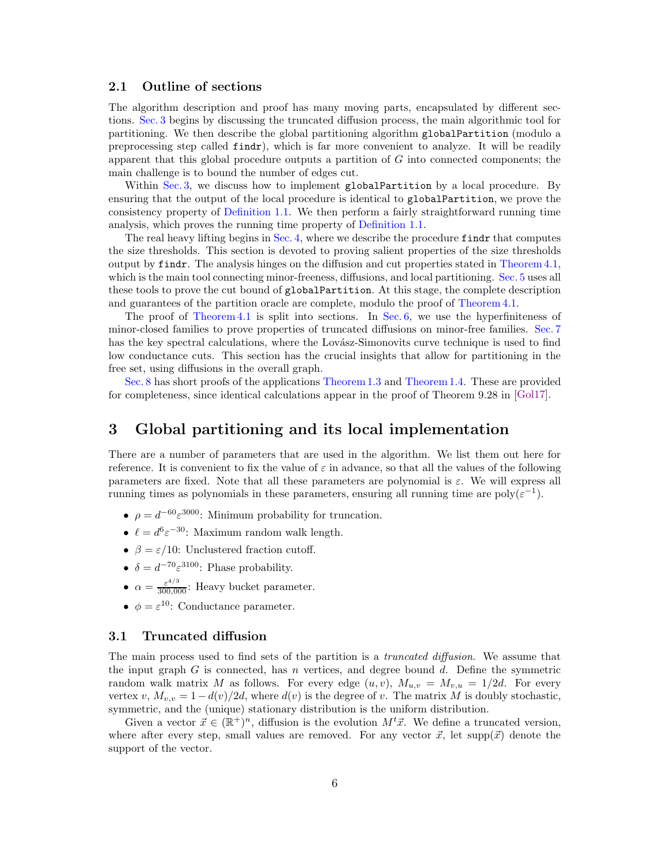#### <span id="page-6-1"></span>2.1 Outline of sections

The algorithm description and proof has many moving parts, encapsulated by different sections. [Sec. 3](#page-6-0) begins by discussing the truncated diffusion process, the main algorithmic tool for partitioning. We then describe the global partitioning algorithm globalPartition (modulo a preprocessing step called findr), which is far more convenient to analyze. It will be readily apparent that this global procedure outputs a partition of G into connected components; the main challenge is to bound the number of edges cut.

Within [Sec. 3,](#page-6-0) we discuss how to implement globalPartition by a local procedure. By ensuring that the output of the local procedure is identical to globalPartition, we prove the consistency property of [Definition 1.1.](#page-1-0) We then perform a fairly straightforward running time analysis, which proves the running time property of [Definition 1.1.](#page-1-0)

The real heavy lifting begins in [Sec. 4,](#page-11-0) where we describe the procedure findr that computes the size thresholds. This section is devoted to proving salient properties of the size thresholds output by findr. The analysis hinges on the diffusion and cut properties stated in [Theorem 4.1,](#page-11-1) which is the main tool connecting minor-freeness, diffusions, and local partitioning. [Sec. 5](#page-15-0) uses all these tools to prove the cut bound of globalPartition. At this stage, the complete description and guarantees of the partition oracle are complete, modulo the proof of [Theorem 4.1.](#page-11-1)

The proof of [Theorem 4.1](#page-11-1) is split into sections. In [Sec. 6,](#page-18-0) we use the hyperfiniteness of minor-closed families to prove properties of truncated diffusions on minor-free families. [Sec. 7](#page-20-0) has the key spectral calculations, where the Lovász-Simonovits curve technique is used to find low conductance cuts. This section has the crucial insights that allow for partitioning in the free set, using diffusions in the overall graph.

[Sec. 8](#page-27-0) has short proofs of the applications [Theorem 1.3](#page-2-1) and [Theorem 1.4.](#page-2-2) These are provided for completeness, since identical calculations appear in the proof of Theorem 9.28 in [\[Gol17\]](#page-29-10).

### <span id="page-6-0"></span>3 Global partitioning and its local implementation

There are a number of parameters that are used in the algorithm. We list them out here for reference. It is convenient to fix the value of  $\varepsilon$  in advance, so that all the values of the following parameters are fixed. Note that all these parameters are polynomial is  $\varepsilon$ . We will express all running times as polynomials in these parameters, ensuring all running time are  $poly(\varepsilon^{-1})$ .

- $\rho = d^{-60} \varepsilon^{3000}$ : Minimum probability for truncation.
- $\ell = d^6 \varepsilon^{-30}$ : Maximum random walk length.
- $\beta = \varepsilon/10$ : Unclustered fraction cutoff.
- $\delta = d^{-70} \varepsilon^{3100}$ : Phase probability.
- $\alpha = \frac{\varepsilon^{4/3}}{300,000}$ : Heavy bucket parameter.
- $\phi = \varepsilon^{10}$ : Conductance parameter.

#### 3.1 Truncated diffusion

The main process used to find sets of the partition is a truncated diffusion. We assume that the input graph  $G$  is connected, has n vertices, and degree bound d. Define the symmetric random walk matrix M as follows. For every edge  $(u, v)$ ,  $M_{u, v} = M_{v, u} = 1/2d$ . For every vertex v,  $M_{v,v} = 1 - d(v)/2d$ , where  $d(v)$  is the degree of v. The matrix M is doubly stochastic, symmetric, and the (unique) stationary distribution is the uniform distribution.

Given a vector  $\vec{x} \in (\mathbb{R}^+)^n$ , diffusion is the evolution  $M^t \vec{x}$ . We define a truncated version, where after every step, small values are removed. For any vector  $\vec{x}$ , let supp $(\vec{x})$  denote the support of the vector.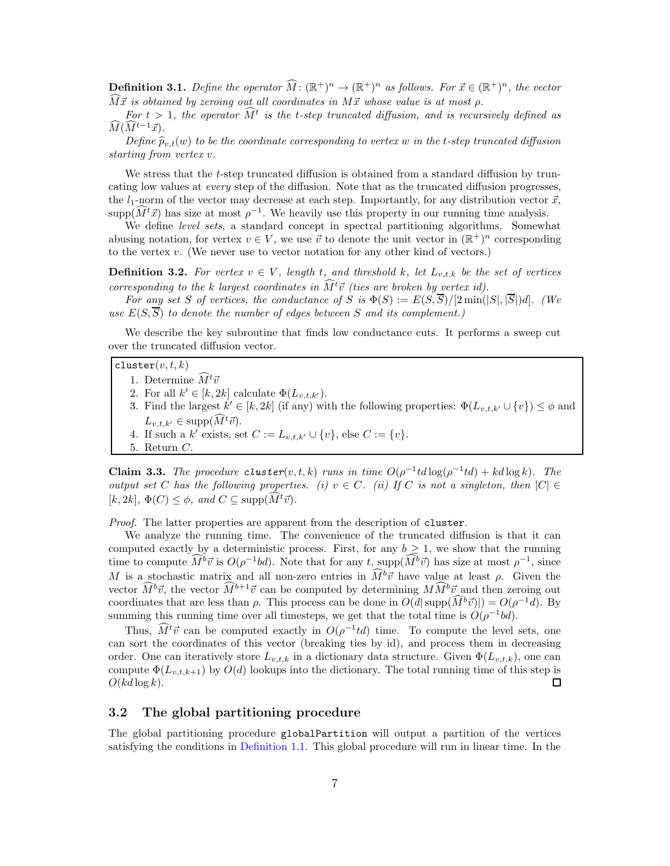**Definition 3.1.** Define the operator  $\widehat{M}$ :  $(\mathbb{R}^+)^n \to (\mathbb{R}^+)^n$  as follows. For  $\vec{x} \in (\mathbb{R}^+)^n$ , the vector  $\widehat{M} \vec{x}$  is obtained by zeroing out all coordinates in  $M \vec{x}$  whose value is at most  $\rho$ .

For  $t > 1$ , the operator  $\hat{M}^t$  is the t-step truncated diffusion, and is recursively defined as  $\widehat{M}(\widehat{M}^{t-1}\vec{x}).$ 

Define  $\widehat{p}_{v,t}(w)$  to be the coordinate corresponding to vertex w in the t-step truncated diffusion starting from vertex v.

We stress that the t-step truncated diffusion is obtained from a standard diffusion by truncating low values at every step of the diffusion. Note that as the truncated diffusion progresses, the  $l_1$ -norm of the vector may decrease at each step. Importantly, for any distribution vector  $\vec{x}$ ,  $\text{supp}(\hat{M}^t\vec{x})$  has size at most  $\rho^{-1}$ . We heavily use this property in our running time analysis.

We define *level sets*, a standard concept in spectral partitioning algorithms. Somewhat abusing notation, for vertex  $v \in V$ , we use  $\vec{v}$  to denote the unit vector in  $(\mathbb{R}^+)^n$  corresponding to the vertex  $v$ . (We never use to vector notation for any other kind of vectors.)

**Definition 3.2.** For vertex  $v \in V$ , length t, and threshold k, let  $L_{v,t,k}$  be the set of vertices corresponding to the k largest coordinates in  $\widehat{M}^t\vec{v}$  (ties are broken by vertex id).

For any set S of vertices, the conductance of S is  $\Phi(S) := E(S, \overline{S})/[2 \min(|S|, |\overline{S}|)d]$ . (We use  $E(S, \overline{S})$  to denote the number of edges between S and its complement.)

We describe the key subroutine that finds low conductance cuts. It performs a sweep cut over the truncated diffusion vector.

#### $cluster(v, t, k)$

1. Determine  $\tilde{M}^t \vec{v}$ 

- 2. For all  $k' \in [k, 2k]$  calculate  $\Phi(L_{v,t,k'})$ .
- 3. Find the largest  $k' \in [k, 2k]$  (if any) with the following properties:  $\Phi(L_{v,t,k'} \cup \{v\}) \leq \phi$  and  $L_{v,t,k'} \in \text{supp}(M^t\vec{v}).$
- 4. If such a  $k'$  exists, set  $C := L_{v,t,k'} \cup \{v\}$ , else  $C := \{v\}$ .
- 5. Return C.

<span id="page-7-0"></span>Claim 3.3. The procedure cluster(v, t, k) runs in time  $O(\rho^{-1}td \log(\rho^{-1}td) + kd \log k)$ . The output set C has the following properties. (i)  $v \in C$ . (ii) If C is not a singleton, then  $|C| \in$  $[k, 2k], \Phi(C) \leq \phi$ , and  $C \subseteq \text{supp}(M^t\vec{v}).$ 

Proof. The latter properties are apparent from the description of cluster.

We analyze the running time. The convenience of the truncated diffusion is that it can computed exactly by a deterministic process. First, for any  $b \geq 1$ , we show that the running time to compute  $\tilde{M}^b \vec{v}$  is  $O(\rho^{-1}bd)$ . Note that for any  $t$ , supp $(\tilde{M}^b \vec{v})$  has size at most  $\rho^{-1}$ , since M is a stochastic matrix and all non-zero entries in  $\widehat{M}^b\vec{v}$  have value at least  $\rho$ . Given the vector  $\widehat{M}^b\vec{v}$ , the vector  $\widehat{M}^{b+1}\vec{v}$  can be computed by determining  $M\widehat{M}^b\vec{v}$  and then zeroing out coordinates that are less than  $\rho$ . This process can be done in  $O(d|\text{supp}(M^b\vec{v})|) = O(\rho^{-1}d)$ . By summing this running time over all timesteps, we get that the total time is  $O(\rho^{-1}bd)$ .

Thus,  $\widehat{M}^t\vec{v}$  can be computed exactly in  $O(\rho^{-1}td)$  time. To compute the level sets, one can sort the coordinates of this vector (breaking ties by id), and process them in decreasing order. One can iteratively store  $L_{v,t,k}$  in a dictionary data structure. Given  $\Phi(L_{v,t,k})$ , one can compute  $\Phi(L_{v,t,k+1})$  by  $O(d)$  lookups into the dictionary. The total running time of this step is  $O(kd \log k)$ .  $\Box$ 

#### 3.2 The global partitioning procedure

The global partitioning procedure globalPartition will output a partition of the vertices satisfying the conditions in [Definition 1.1.](#page-1-0) This global procedure will run in linear time. In the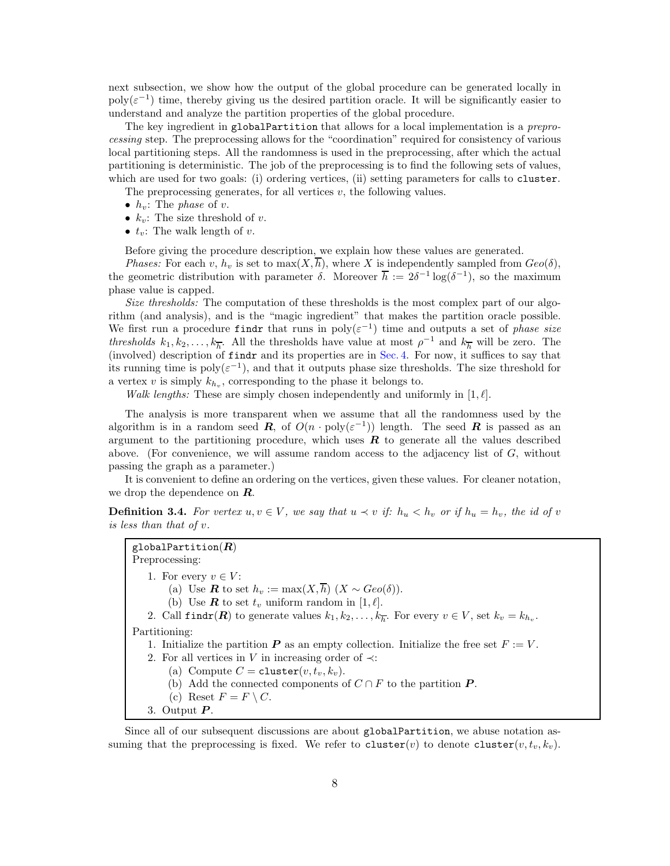next subsection, we show how the output of the global procedure can be generated locally in  $poly(\varepsilon^{-1})$  time, thereby giving us the desired partition oracle. It will be significantly easier to understand and analyze the partition properties of the global procedure.

The key ingredient in globalPartition that allows for a local implementation is a preprocessing step. The preprocessing allows for the "coordination" required for consistency of various local partitioning steps. All the randomness is used in the preprocessing, after which the actual partitioning is deterministic. The job of the preprocessing is to find the following sets of values, which are used for two goals: (i) ordering vertices, (ii) setting parameters for calls to cluster.

The preprocessing generates, for all vertices  $v$ , the following values.

- $h_v$ : The phase of v.
- $k_v$ : The size threshold of v.
- $t_n$ : The walk length of v.

Before giving the procedure description, we explain how these values are generated.

*Phases:* For each v,  $h_v$  is set to  $\max(X, \overline{h})$ , where X is independently sampled from  $Geo(\delta)$ , the geometric distribution with parameter  $\delta$ . Moreover  $\overline{h} := 2\delta^{-1} \log(\delta^{-1})$ , so the maximum phase value is capped.

Size thresholds: The computation of these thresholds is the most complex part of our algorithm (and analysis), and is the "magic ingredient" that makes the partition oracle possible. We first run a procedure findr that runs in  $\text{poly}(\varepsilon^{-1})$  time and outputs a set of phase size thresholds  $k_1, k_2, \ldots, k_{\overline{h}}$ . All the thresholds have value at most  $\rho^{-1}$  and  $k_{\overline{h}}$  will be zero. The (involved) description of findr and its properties are in [Sec. 4.](#page-11-0) For now, it suffices to say that its running time is  $poly(\varepsilon^{-1})$ , and that it outputs phase size thresholds. The size threshold for a vertex  $v$  is simply  $k_{h_v}$ , corresponding to the phase it belongs to.

Walk lengths: These are simply chosen independently and uniformly in [1, $\ell$ ].

The analysis is more transparent when we assume that all the randomness used by the algorithm is in a random seed  $\boldsymbol{R}$ , of  $O(n \cdot \text{poly}(\varepsilon^{-1}))$  length. The seed  $\boldsymbol{R}$  is passed as an argument to the partitioning procedure, which uses  $\bf{R}$  to generate all the values described above. (For convenience, we will assume random access to the adjacency list of  $G$ , without passing the graph as a parameter.)

It is convenient to define an ordering on the vertices, given these values. For cleaner notation, we drop the dependence on  $\boldsymbol{R}$ .

**Definition 3.4.** For vertex  $u, v \in V$ , we say that  $u \prec v$  if:  $h_u \prec h_v$  or if  $h_u = h_v$ , the id of v is less than that of v.

globalPartition $(R)$ Preprocessing: 1. For every  $v \in V$ : (a) Use **R** to set  $h_v := \max(X, \overline{h})$   $(X \sim Geo(\delta)).$ (b) Use **R** to set  $t_v$  uniform random in [1,  $\ell$ ]. 2. Call  $\text{findr}(R)$  to generate values  $k_1, k_2, \ldots, k_{\overline{h}}$ . For every  $v \in V$ , set  $k_v = k_{h_v}$ . Partitioning: 1. Initialize the partition  $\boldsymbol{P}$  as an empty collection. Initialize the free set  $F := V$ . 2. For all vertices in V in increasing order of  $\prec$ : (a) Compute  $C = \text{cluster}(v, t_v, k_v)$ . (b) Add the connected components of  $C \cap F$  to the partition  $P$ . (c) Reset  $F = F \setminus C$ . 3. Output  $P$ .

Since all of our subsequent discussions are about globalPartition, we abuse notation assuming that the preprocessing is fixed. We refer to cluster(v) to denote cluster(v,  $t_v, k_v$ ).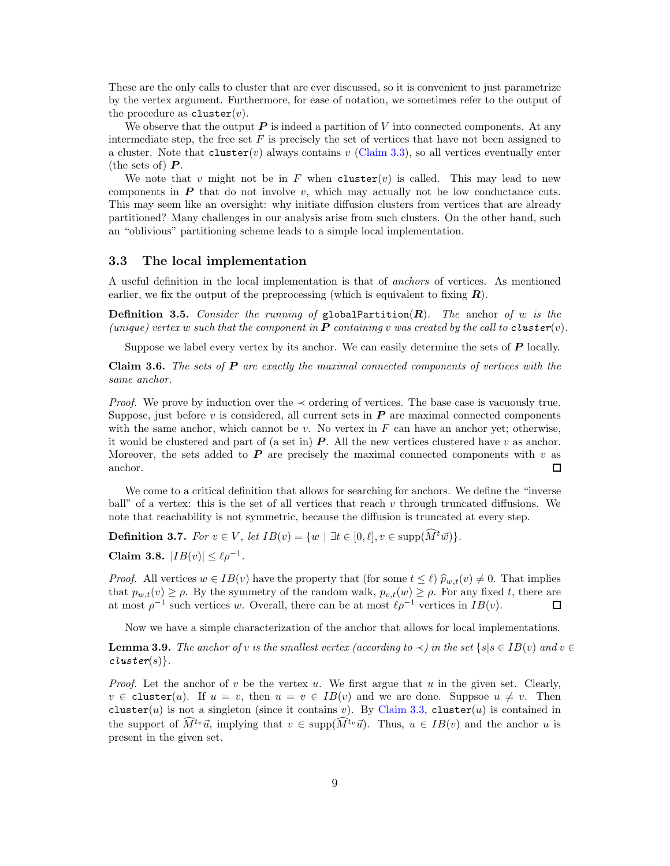These are the only calls to cluster that are ever discussed, so it is convenient to just parametrize by the vertex argument. Furthermore, for ease of notation, we sometimes refer to the output of the procedure as  $cluster(v)$ .

We observe that the output  $P$  is indeed a partition of V into connected components. At any intermediate step, the free set  $F$  is precisely the set of vertices that have not been assigned to a cluster. Note that  $cluster(v)$  always contains v [\(Claim 3.3\)](#page-7-0), so all vertices eventually enter (the sets of)  $\boldsymbol{P}$ .

We note that v might not be in F when cluster(v) is called. This may lead to new components in  $P$  that do not involve  $v$ , which may actually not be low conductance cuts. This may seem like an oversight: why initiate diffusion clusters from vertices that are already partitioned? Many challenges in our analysis arise from such clusters. On the other hand, such an "oblivious" partitioning scheme leads to a simple local implementation.

#### 3.3 The local implementation

A useful definition in the local implementation is that of anchors of vertices. As mentioned earlier, we fix the output of the preprocessing (which is equivalent to fixing  $R$ ).

**Definition 3.5.** Consider the running of globalPartition( $\mathbf{R}$ ). The anchor of w is the (unique) vertex w such that the component in **P** containing v was created by the call to **cluster**(v).

Suppose we label every vertex by its anchor. We can easily determine the sets of  $\boldsymbol{P}$  locally.

<span id="page-9-1"></span>**Claim 3.6.** The sets of  $P$  are exactly the maximal connected components of vertices with the same anchor.

*Proof.* We prove by induction over the  $\prec$  ordering of vertices. The base case is vacuously true. Suppose, just before  $v$  is considered, all current sets in  $\bm{P}$  are maximal connected components with the same anchor, which cannot be  $v$ . No vertex in  $F$  can have an anchor yet; otherwise, it would be clustered and part of (a set in)  $P$ . All the new vertices clustered have v as anchor. Moreover, the sets added to  $P$  are precisely the maximal connected components with  $v$  as anchor.  $\Box$ 

We come to a critical definition that allows for searching for anchors. We define the "inverse ball" of a vertex: this is the set of all vertices that reach  $v$  through truncated diffusions. We note that reachability is not symmetric, because the diffusion is truncated at every step.

**Definition 3.7.** For  $v \in V$ , let  $IB(v) = \{w \mid \exists t \in [0, \ell], v \in \text{supp}(\widehat{M}^t\vec{w})\}.$ 

<span id="page-9-2"></span>Claim 3.8.  $|IB(v)| \leq \ell \rho^{-1}$ .

*Proof.* All vertices  $w \in IB(v)$  have the property that (for some  $t \leq \ell$ )  $\hat{p}_{w,t}(v) \neq 0$ . That implies that  $p_{w,t}(v) \ge \rho$ . By the symmetry of the random walk,  $p_{v,t}(w) \ge \rho$ . For any fixed t, there are at most  $\rho^{-1}$  such vertices w. Overall, there can be at most  $\ell \rho^{-1}$  vertices in  $IB(v)$ . at most  $\rho^{-1}$  such vertices w. Overall, there can be at most  $\ell \rho^{-1}$  vertices in  $IB(v)$ .

Now we have a simple characterization of the anchor that allows for local implementations.

<span id="page-9-0"></span>**Lemma 3.9.** The anchor of v is the smallest vertex (according to  $\prec$ ) in the set {s|s  $\in$  IB(v) and v  $\in$  $cluster(s)$ .

*Proof.* Let the anchor of v be the vertex u. We first argue that u in the given set. Clearly,  $v \in$  cluster(u). If  $u = v$ , then  $u = v \in IB(v)$  and we are done. Suppsoe  $u \neq v$ . Then cluster(u) is not a singleton (since it contains v). By [Claim 3.3,](#page-7-0) cluster(u) is contained in the support of  $\widehat{M}^{t_v} \vec{u}$ , implying that  $v \in \text{supp}(\widehat{M}^{t_v} \vec{u})$ . Thus,  $u \in IB(v)$  and the anchor u is present in the given set.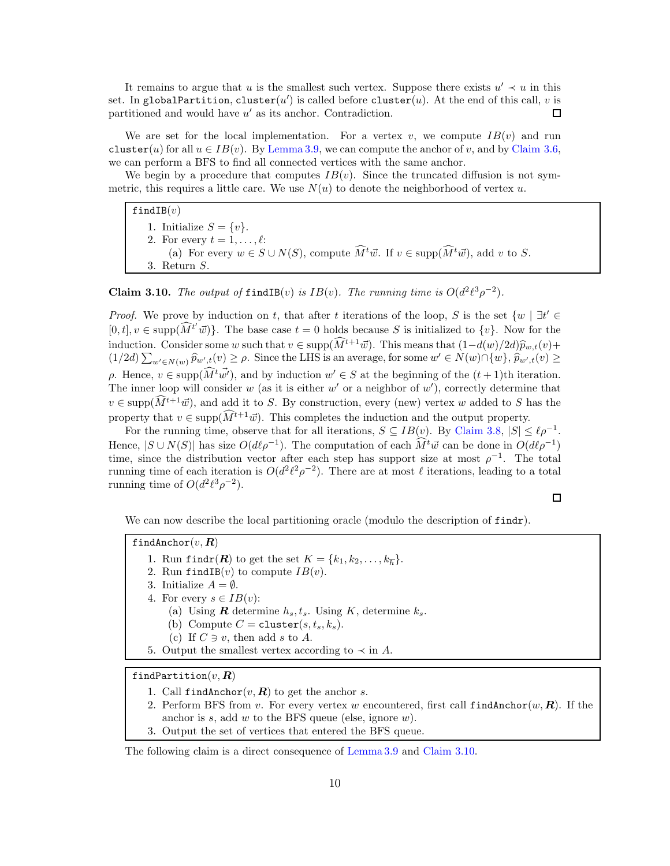It remains to argue that u is the smallest such vertex. Suppose there exists  $u' \prec u$  in this set. In globalPartition, cluster( $u'$ ) is called before cluster( $u$ ). At the end of this call,  $v$  is  $\Box$ partitioned and would have u' as its anchor. Contradiction.

We are set for the local implementation. For a vertex v, we compute  $IB(v)$  and run cluster(u) for all  $u \in IB(v)$ . By [Lemma 3.9,](#page-9-0) we can compute the anchor of v, and by [Claim 3.6,](#page-9-1) we can perform a BFS to find all connected vertices with the same anchor.

We begin by a procedure that computes  $IB(v)$ . Since the truncated diffusion is not symmetric, this requires a little care. We use  $N(u)$  to denote the neighborhood of vertex u.

findIB $(v)$ 1. Initialize  $S = \{v\}.$ 2. For every  $t = 1, \ldots, \ell$ : (a) For every  $w \in S \cup N(S)$ , compute  $\widehat{M}^t \vec{w}$ . If  $v \in \text{supp}(\widehat{M}^t \vec{w})$ , add v to S. 3. Return S.

<span id="page-10-0"></span>**Claim 3.10.** The output of find IB(v) is  $IB(v)$ . The running time is  $O(d^2\ell^3\rho^{-2})$ .

*Proof.* We prove by induction on t, that after t iterations of the loop, S is the set  $\{w \mid \exists t' \in \mathbb{R}\}$  $[0, t], v \in \text{supp}(\widehat{M}^{t'}\vec{w})\}.$  The base case  $t = 0$  holds because S is initialized to  $\{v\}.$  Now for the induction. Consider some w such that  $v \in \text{supp}(\widehat{M}^{t+1}\vec{w})$ . This means that  $(1-d(w)/2d)\widehat{p}_{w,t}(v)$ +  $(1/2d)\sum_{w'\in N(w)} \widehat{p}_{w',t}(v) \geq \rho$ . Since the LHS is an average, for some  $w' \in N(w) \cap \{w\}$ ,  $\widehat{p}_{w',t}(v) \geq$  $ρ$ . Hence,  $v ∈ \text{supp}(\widehat{M}^t \vec{w'})$ , and by induction  $w' ∈ S$  at the beginning of the  $(t + 1)$ th iteration. The inner loop will consider w (as it is either  $w'$  or a neighbor of  $w'$ ), correctly determine that  $v \in \text{supp}(\widehat{M}^{t+1}\vec{w})$ , and add it to S. By construction, every (new) vertex w added to S has the property that  $v \in \text{supp}(\widehat{M}^{t+1}\vec{w})$ . This completes the induction and the output property.

For the running time, observe that for all iterations,  $S \subseteq IB(\underline{v})$ . By [Claim 3.8,](#page-9-2)  $|S| \leq \ell \rho^{-1}$ . Hence,  $|S \cup N(S)|$  has size  $O(d\ell \rho^{-1})$ . The computation of each  $M^t \vec{w}$  can be done in  $O(d\ell \rho^{-1})$ time, since the distribution vector after each step has support size at most  $\rho^{-1}$ . The total running time of each iteration is  $O(d^2\ell^2\rho^{-2})$ . There are at most  $\ell$  iterations, leading to a total running time of  $O(d^2 \ell^3 \rho^{-2})$ .

 $\Box$ 

We can now describe the local partitioning oracle (modulo the description of  $\text{findr}$ ).

findAnchor $(v, R)$ 

- 1. Run findr( $\mathbf{R}$ ) to get the set  $K = \{k_1, k_2, \ldots, k_{\overline{h}}\}.$
- 2. Run findIB(v) to compute  $IB(v)$ .
- 3. Initialize  $A = \emptyset$ .
- 4. For every  $s \in IB(v)$ :
	- (a) Using **R** determine  $h_s, t_s$ . Using K, determine  $k_s$ .
	- (b) Compute  $C = \text{cluster}(s, t_s, k_s)$ .
	- (c) If  $C \ni v$ , then add s to A.
- 5. Output the smallest vertex according to  $\prec$  in A.

findPartition $(v, R)$ 

- 1. Call findAnchor $(v, R)$  to get the anchor s.
- 2. Perform BFS from v. For every vertex w encountered, first call  $\text{findAnother}(w, \mathbf{R})$ . If the anchor is s, add w to the BFS queue (else, ignore w).
- 3. Output the set of vertices that entered the BFS queue.

#### The following claim is a direct consequence of [Lemma 3.9](#page-9-0) and [Claim 3.10.](#page-10-0)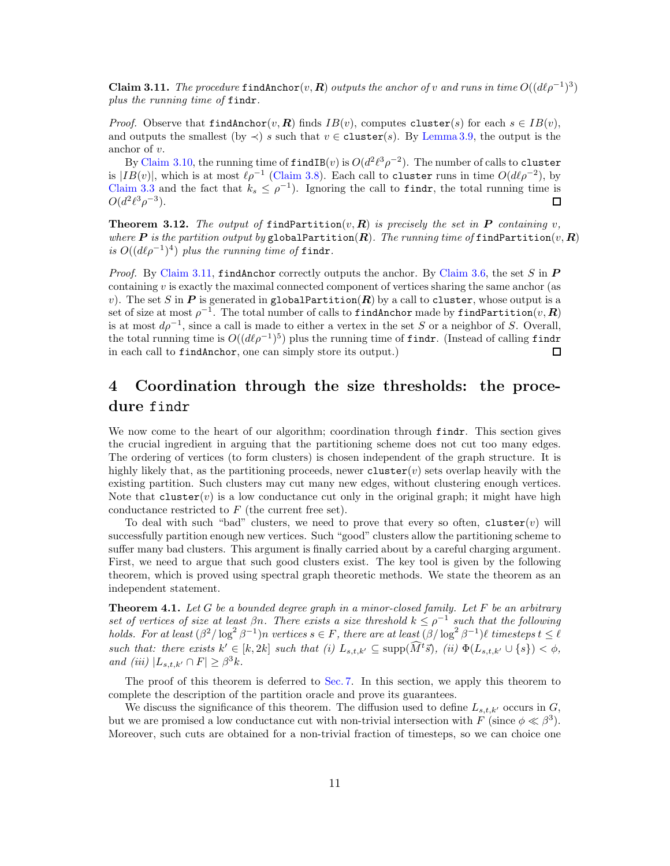<span id="page-11-2"></span>Claim 3.11. The procedure find Anchor $(v, R)$  outputs the anchor of v and runs in time  $O((d\ell \rho^{-1})^3)$ plus the running time of findr.

*Proof.* Observe that findAnchor(v, R) finds  $IB(v)$ , computes cluster(s) for each  $s \in IB(v)$ , and outputs the smallest (by  $\prec$ ) s such that  $v \in$  cluster(s). By [Lemma 3.9,](#page-9-0) the output is the anchor of v.

By [Claim 3.10,](#page-10-0) the running time of  $\texttt{findIB}(v)$  is  $O(d^2\ell^3\rho^{-2})$ . The number of calls to cluster is  $|IB(v)|$ , which is at most  $\ell \rho^{-1}$  [\(Claim 3.8\)](#page-9-2). Each call to cluster runs in time  $O(d\ell \rho^{-2})$ , by [Claim 3.3](#page-7-0) and the fact that  $k_s \leq \rho^{-1}$ ). Ignoring the call to findr, the total running time is  $O(d^2 \ell^3 \rho^{-3}).$ 口

<span id="page-11-3"></span>**Theorem 3.12.** The output of findPartition(v, R) is precisely the set in P containing v, where  $\bm{P}$  is the partition output by globalPartition( $\bm{R}$ ). The running time of findPartition( $v, \bm{R}$ ) is  $O((d\ell \rho^{-1})^4)$  plus the running time of findr.

*Proof.* By [Claim 3.11,](#page-11-2) find Anchor correctly outputs the anchor. By [Claim 3.6,](#page-9-1) the set S in  $\boldsymbol{P}$ containing v is exactly the maximal connected component of vertices sharing the same anchor (as v). The set S in P is generated in globalPartition(R) by a call to cluster, whose output is a  $\operatorname{set}$  of size at most  $\rho^{-1}.$  The total number of calls to <code>findAnchor</code> made by <code>findPartition $(v,\bm{R})$ </code> is at most  $d\rho^{-1}$ , since a call is made to either a vertex in the set S or a neighbor of S. Overall, the total running time is  $O((d\ell \rho^{-1})^5)$  plus the running time of findr. (Instead of calling findr in each call to findAnchor, one can simply store its output.)  $\Box$ 

## <span id="page-11-0"></span>4 Coordination through the size thresholds: the procedure findr

We now come to the heart of our algorithm; coordination through findr. This section gives the crucial ingredient in arguing that the partitioning scheme does not cut too many edges. The ordering of vertices (to form clusters) is chosen independent of the graph structure. It is highly likely that, as the partitioning proceeds, newer cluster(v) sets overlap heavily with the existing partition. Such clusters may cut many new edges, without clustering enough vertices. Note that  $cluster(v)$  is a low conductance cut only in the original graph; it might have high conductance restricted to  $F$  (the current free set).

To deal with such "bad" clusters, we need to prove that every so often, cluster(v) will successfully partition enough new vertices. Such "good" clusters allow the partitioning scheme to suffer many bad clusters. This argument is finally carried about by a careful charging argument. First, we need to argue that such good clusters exist. The key tool is given by the following theorem, which is proved using spectral graph theoretic methods. We state the theorem as an independent statement.

<span id="page-11-1"></span>**Theorem 4.1.** Let G be a bounded degree graph in a minor-closed family. Let F be an arbitrary set of vertices of size at least  $\beta n$ . There exists a size threshold  $k \leq \rho^{-1}$  such that the following holds. For at least  $(\beta^2/\log^2 \beta^{-1})n$  vertices  $s \in F$ , there are at least  $(\beta/\log^2 \beta^{-1})\ell$  timesteps  $t \leq \ell$ such that: there exists  $k' \in [k, 2k]$  such that (i)  $L_{s,t,k'} \subseteq \text{supp}(\tilde{M}^t\vec{s}),$  (ii)  $\Phi(L_{s,t,k'} \cup \{s\}) < \phi$ , and (iii)  $|L_{s,t,k'} \cap F| \geq \beta^3 k$ .

The proof of this theorem is deferred to [Sec. 7.](#page-20-0) In this section, we apply this theorem to complete the description of the partition oracle and prove its guarantees.

We discuss the significance of this theorem. The diffusion used to define  $L_{s,t,k'}$  occurs in  $G$ , but we are promised a low conductance cut with non-trivial intersection with F (since  $\phi \ll \beta^3$ ). Moreover, such cuts are obtained for a non-trivial fraction of timesteps, so we can choice one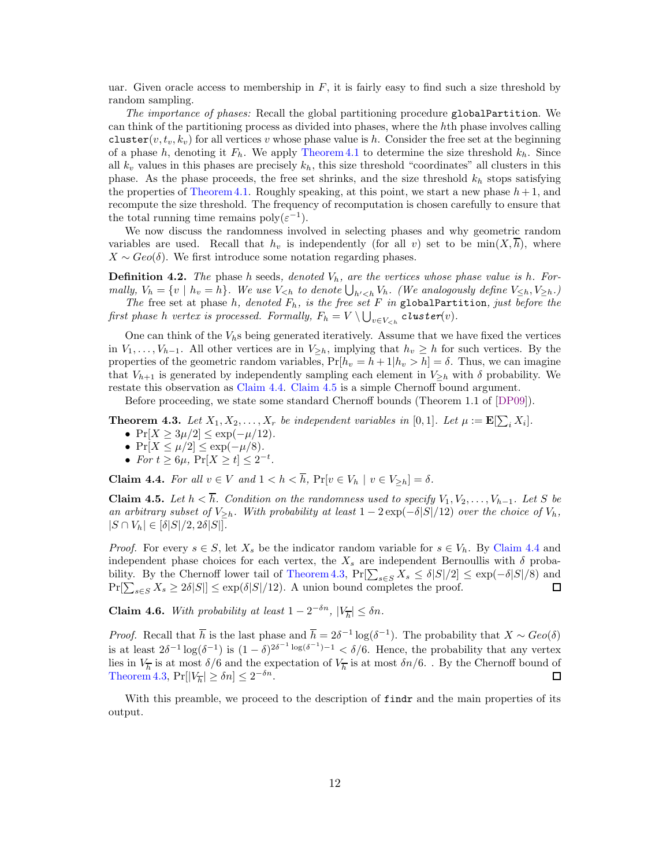<span id="page-12-4"></span>uar. Given oracle access to membership in  $F$ , it is fairly easy to find such a size threshold by random sampling.

The importance of phases: Recall the global partitioning procedure globalPartition. We can think of the partitioning process as divided into phases, where the hth phase involves calling cluster(v,  $t_v, k_v$ ) for all vertices v whose phase value is h. Consider the free set at the beginning of a phase h, denoting it  $F_h$ . We apply [Theorem 4.1](#page-11-1) to determine the size threshold  $k_h$ . Since all  $k_v$  values in this phases are precisely  $k_h$ , this size threshold "coordinates" all clusters in this phase. As the phase proceeds, the free set shrinks, and the size threshold  $k_h$  stops satisfying the properties of [Theorem 4.1.](#page-11-1) Roughly speaking, at this point, we start a new phase  $h + 1$ , and recompute the size threshold. The frequency of recomputation is chosen carefully to ensure that the total running time remains  $\text{poly}(\varepsilon^{-1})$ .

We now discuss the randomness involved in selecting phases and why geometric random variables are used. Recall that  $h_v$  is independently (for all v) set to be  $min(X, \overline{h})$ , where  $X \sim Geo(\delta)$ . We first introduce some notation regarding phases.

**Definition 4.2.** The phase h seeds, denoted  $V_h$ , are the vertices whose phase value is h. Formally,  $V_h = \{v \mid h_v = h\}$ . We use  $V_{\leq h}$  to denote  $\bigcup_{h' \leq h} V_h$ . (We analogously define  $V_{\leq h}, V_{\geq h}$ .) The free set at phase h, denoted  $F_h$ , is the free set F in globalPartition, just before the

first phase h vertex is processed. Formally,  $F_h = V \setminus \bigcup_{v \in V_{\leq h}} \texttt{cluster}(v)$ .

One can think of the  $V_{h}$ s being generated iteratively. Assume that we have fixed the vertices in  $V_1, \ldots, V_{h-1}$ . All other vertices are in  $V_{\geq h}$ , implying that  $h_v \geq h$  for such vertices. By the properties of the geometric random variables,  $Pr[h_v = h + 1|h_v > h] = \delta$ . Thus, we can imagine that  $V_{h+1}$  is generated by independently sampling each element in  $V_{\geq h}$  with  $\delta$  probability. We restate this observation as [Claim 4.4.](#page-12-0) [Claim 4.5](#page-12-1) is a simple Chernoff bound argument.

Before proceeding, we state some standard Chernoff bounds (Theorem 1.1 of [\[DP09\]](#page-28-5)).

<span id="page-12-2"></span>**Theorem 4.3.** Let  $X_1, X_2, ..., X_r$  be independent variables in [0, 1]. Let  $\mu := \mathbf{E}[\sum_i X_i]$ .

- $Pr[X \ge 3\mu/2] \le exp(-\mu/12)$ .
- $Pr[X \leq \mu/2] \leq exp(-\mu/8).$
- For  $t \geq 6\mu$ ,  $\Pr[X \geq t] \leq 2^{-t}$ .

<span id="page-12-0"></span>**Claim 4.4.** For all  $v \in V$  and  $1 < h < \overline{h}$ ,  $Pr[v \in V_h | v \in V_{>h}] = \delta$ .

<span id="page-12-1"></span>**Claim 4.5.** Let  $h < \overline{h}$ . Condition on the randomness used to specify  $V_1, V_2, \ldots, V_{h-1}$ . Let S be an arbitrary subset of  $V_{\geq h}$ . With probability at least  $1 - 2 \exp(-\delta |S|/12)$  over the choice of  $V_h$ ,  $|S \cap V_h| \in [\delta|S|/2, 2\delta|S|].$ 

*Proof.* For every  $s \in S$ , let  $X_s$  be the indicator random variable for  $s \in V_h$ . By [Claim 4.4](#page-12-0) and independent phase choices for each vertex, the  $X_s$  are independent Bernoullis with  $\delta$  proba-bility. By the Chernoff lower tail of [Theorem 4.3,](#page-12-2)  $Pr[\sum_{s \in S} X_s \leq \delta |S|/2] \leq \exp(-\delta |S|/8)$  and  $Pr[\sum_{s \in S} X_s \ge 2\delta |S|] \le \exp(\delta |S|/12)$ . A union bound completes the proof.

<span id="page-12-3"></span>**Claim 4.6.** With probability at least  $1 - 2^{-\delta n}$ ,  $|V_{\overline{h}}| \leq \delta n$ .

*Proof.* Recall that  $\overline{h}$  is the last phase and  $\overline{h} = 2\delta^{-1} \log(\delta^{-1})$ . The probability that  $X \sim Geo(\delta)$ is at least  $2\delta^{-1}\log(\delta^{-1})$  is  $(1-\delta)^{2\delta^{-1}\log(\delta^{-1})-1} < \delta/6$ . Hence, the probability that any vertex lies in  $V_{\overline{h}}$  is at most  $\delta/6$  and the expectation of  $V_{\overline{h}}$  is at most  $\delta n/6$ . . By the Chernoff bound of [Theorem 4.3,](#page-12-2)  $Pr[|V_{\overline{h}}| \ge \delta n] \le 2^{-\delta n}$ .  $\Box$ 

With this preamble, we proceed to the description of findr and the main properties of its output.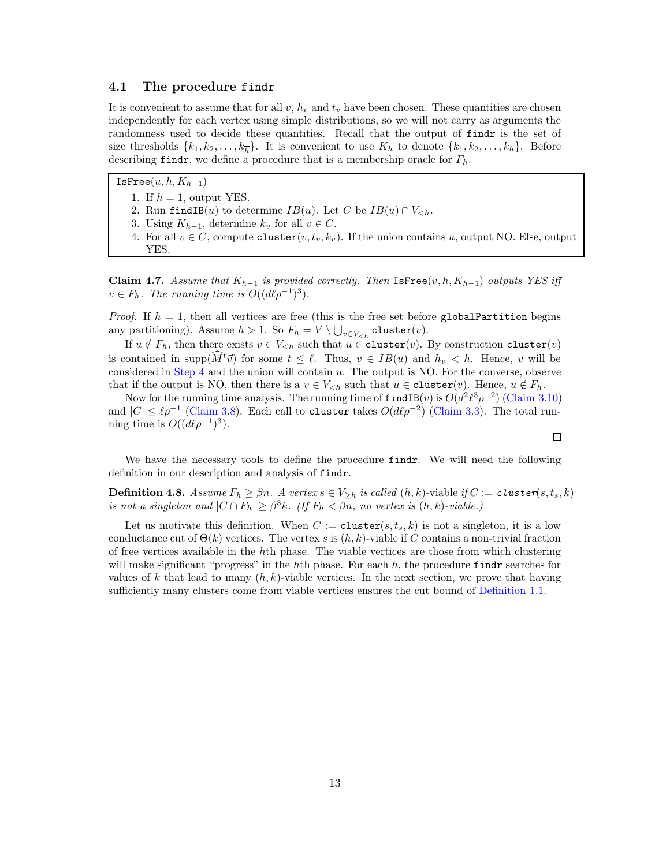#### 4.1 The procedure findr

It is convenient to assume that for all  $v$ ,  $h_v$  and  $t_v$  have been chosen. These quantities are chosen independently for each vertex using simple distributions, so we will not carry as arguments the randomness used to decide these quantities. Recall that the output of findr is the set of size thresholds  $\{k_1, k_2, \ldots, k_h\}$ . It is convenient to use  $K_h$  to denote  $\{k_1, k_2, \ldots, k_h\}$ . Before describing findr, we define a procedure that is a membership oracle for  $F_h$ .

IsFree $(u, h, K_{h-1})$ 1. If  $h = 1$ , output YES.

- 2. Run findIB(u) to determine  $IB(u)$ . Let C be  $IB(u) \cap V_{\leq h}$ .
- <span id="page-13-0"></span>3. Using  $K_{h-1}$ , determine  $k_v$  for all  $v \in C$ .
- 4. For all  $v \in C$ , compute cluster $(v, t_v, k_v)$ . If the union contains u, output NO. Else, output YES.

<span id="page-13-1"></span>Claim 4.7. Assume that  $K_{h-1}$  is provided correctly. Then IsFree(v, h,  $K_{h-1}$ ) outputs YES iff  $v \in F_h$ . The running time is  $O((d\ell \rho^{-1})^3)$ .

*Proof.* If  $h = 1$ , then all vertices are free (this is the free set before globalPartition begins any partitioning). Assume  $h > 1$ . So  $F_h = V \setminus \bigcup_{v \in V_{\leq h}} \mathtt{cluster}(v)$ .

If  $u \notin F_h$ , then there exists  $v \in V_{\leq h}$  such that  $u \in \text{cluster}(v)$ . By construction cluster $(v)$ is contained in supp $(M<sup>t</sup>\vec{v})$  for some  $t \leq \ell$ . Thus,  $v \in IB(u)$  and  $h_v < h$ . Hence, v will be considered in [Step 4](#page-13-0) and the union will contain  $u$ . The output is NO. For the converse, observe that if the output is NO, then there is a  $v \in V_{\leq h}$  such that  $u \in \text{cluster}(v)$ . Hence,  $u \notin F_h$ .

Now for the running time analysis. The running time of  $\texttt{findIB}(v)$  is  $O(d^2\ell^3\rho^{-2})$  [\(Claim 3.10\)](#page-10-0) and  $|C| \leq \ell \rho^{-1}$  [\(Claim 3.8\)](#page-9-2). Each call to cluster takes  $O(d\ell \rho^{-2})$  [\(Claim 3.3\)](#page-7-0). The total running time is  $O((d\ell \rho^{-1})^3)$ .

We have the necessary tools to define the procedure findr. We will need the following definition in our description and analysis of findr.

**Definition 4.8.** Assume  $F_h \geq \beta n$ . A vertex  $s \in V_{\geq h}$  is called  $(h, k)$ -viable if  $C := \text{cluster}(s, t_s, k)$ is not a singleton and  $|C \cap F_h| \geq \beta^3 k$ . (If  $F_h < \beta n$ , no vertex is  $(h, k)$ -viable.)

Let us motivate this definition. When  $C := \texttt{cluster}(s, t_s, k)$  is not a singleton, it is a low conductance cut of  $\Theta(k)$  vertices. The vertex s is  $(h, k)$ -viable if C contains a non-trivial fraction of free vertices available in the hth phase. The viable vertices are those from which clustering will make significant "progress" in the hth phase. For each  $h$ , the procedure findr searches for values of k that lead to many  $(h, k)$ -viable vertices. In the next section, we prove that having sufficiently many clusters come from viable vertices ensures the cut bound of [Definition 1.1.](#page-1-0)

 $\Box$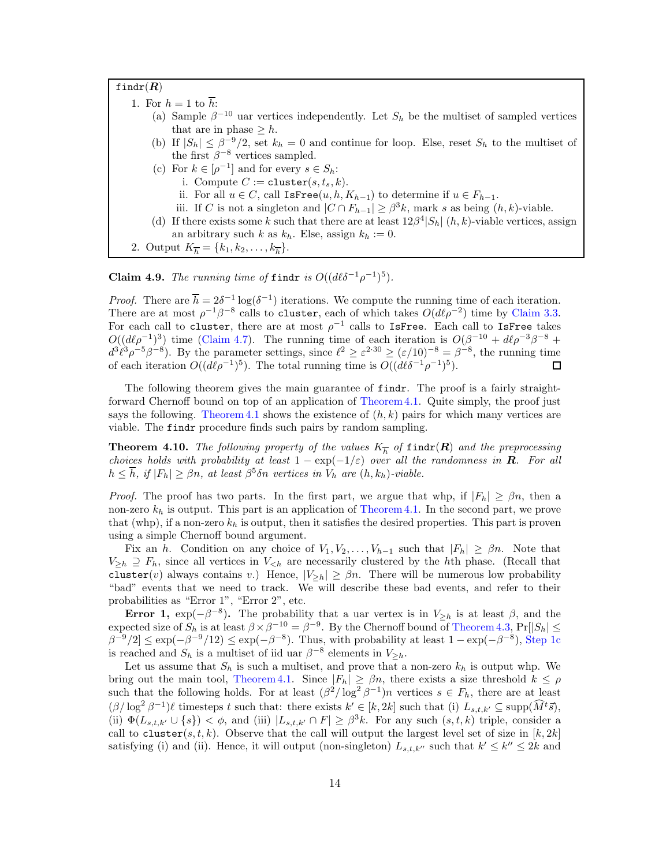findr $(R)$ 

- <span id="page-14-0"></span>1. For  $h = 1$  to  $\overline{h}$ :
	- (a) Sample  $\beta^{-10}$  uar vertices independently. Let  $S_h$  be the multiset of sampled vertices that are in phase  $\geq h$ .
	- (b) If  $|S_h| \leq \beta^{-9/2}$ , set  $k_h = 0$  and continue for loop. Else, reset  $S_h$  to the multiset of the first  $\beta^{-8}$  vertices sampled.
	- (c) For  $k \in [\rho^{-1}]$  and for every  $s \in S_h$ :
		- i. Compute  $C := \texttt{cluster}(s, t_s, k)$ .
		- ii. For all  $u \in C$ , call IsFree(u, h,  $K_{h-1}$ ) to determine if  $u \in F_{h-1}$ .
		- iii. If C is not a singleton and  $|C \cap F_{h-1}| \geq \beta^3 k$ , mark s as being  $(h, k)$ -viable.
	- (d) If there exists some k such that there are at least  $12\beta^4|S_h|$  (h, k)-viable vertices, assign an arbitrary such k as  $k_h$ . Else, assign  $k_h := 0$ .
- <span id="page-14-1"></span>2. Output  $K_{\overline{h}} = \{k_1, k_2, \ldots, k_{\overline{h}}\}.$

<span id="page-14-3"></span>**Claim 4.9.** The running time of findr is  $O((d\ell\delta^{-1}\rho^{-1})^5)$ .

*Proof.* There are  $\overline{h} = 2\delta^{-1} \log(\delta^{-1})$  iterations. We compute the running time of each iteration. There are at most  $\rho^{-1}\beta^{-8}$  calls to cluster, each of which takes  $O(d\ell \rho^{-2})$  time by [Claim 3.3.](#page-7-0) For each call to cluster, there are at most  $\rho^{-1}$  calls to IsFree. Each call to IsFree takes  $O((d\ell \rho^{-1})^3)$  time [\(Claim 4.7\)](#page-13-1). The running time of each iteration is  $O(\beta^{-10} + d\ell \rho^{-3}\beta^{-8} +$  $d^3\ell^3\rho^{-5}\beta^{-8}$ ). By the parameter settings, since  $\ell^2 \geq \varepsilon^{2\cdot 30} \geq (\varepsilon/10)^{-8} = \beta^{-8}$ , the running time of each iteration  $O((d\ell \rho^{-1})^5)$ . The total running time is  $O((d\ell \delta^{-1} \rho^{-1})^5)$ .  $\Box$ 

The following theorem gives the main guarantee of findr. The proof is a fairly straightforward Chernoff bound on top of an application of [Theorem 4.1.](#page-11-1) Quite simply, the proof just says the following. [Theorem 4.1](#page-11-1) shows the existence of  $(h, k)$  pairs for which many vertices are viable. The findr procedure finds such pairs by random sampling.

<span id="page-14-2"></span>**Theorem 4.10.** The following property of the values  $K_{\overline{h}}$  of findr( $\overline{R}$ ) and the preprocessing choices holds with probability at least  $1 - \exp(-1/\varepsilon)$  over all the randomness in **R**. For all  $h \leq \overline{h}$ , if  $|F_h| \geq \beta n$ , at least  $\beta^5 \delta n$  vertices in  $V_h$  are  $(h, k_h)$ -viable.

*Proof.* The proof has two parts. In the first part, we argue that whp, if  $|F_h| \geq \beta n$ , then a non-zero  $k_h$  is output. This part is an application of [Theorem 4.1.](#page-11-1) In the second part, we prove that (whp), if a non-zero  $k_h$  is output, then it satisfies the desired properties. This part is proven using a simple Chernoff bound argument.

Fix an h. Condition on any choice of  $V_1, V_2, \ldots, V_{h-1}$  such that  $|F_h| \geq \beta n$ . Note that  $V_{\geq h} \supseteq F_h$ , since all vertices in  $V_{\leq h}$  are necessarily clustered by the hth phase. (Recall that cluster(v) always contains v.) Hence,  $|V_{\geq h}| \geq \beta n$ . There will be numerous low probability "bad" events that we need to track. We will describe these bad events, and refer to their probabilities as "Error 1", "Error 2", etc.

Error 1,  $\exp(-\beta^{-8})$ . The probability that a uar vertex is in  $V_{\geq h}$  is at least  $\beta$ , and the expected size of  $S_h$  is at least  $\beta \times \beta^{-10} = \beta^{-9}$ . By the Chernoff bound of [Theorem 4.3,](#page-12-2)  $Pr[|S_h| \le$  $\beta^{-9}/2 \le \exp(-\beta^{-9}/12) \le \exp(-\beta^{-8})$ . Thus, with probability at least  $1 - \exp(-\beta^{-8})$ , [Step 1c](#page-14-0) is reached and  $S_h$  is a multiset of iid uar  $\beta^{-8}$  elements in  $V_{\geq h}$ .

Let us assume that  $S_h$  is such a multiset, and prove that a non-zero  $k_h$  is output whp. We bring out the main tool, [Theorem 4.1.](#page-11-1) Since  $|F_h| \ge \beta n$ , there exists a size threshold  $k \le \rho$ such that the following holds. For at least  $(\beta^2/\log^2 \beta^{-1})n$  vertices  $s \in F_h$ , there are at least  $(\beta/\log^2 \beta^{-1})\ell$  timesteps t such that: there exists  $k' \in [k, 2k]$  such that (i)  $L_{s,t,k'} \subseteq \text{supp}(\widehat{M}^t\vec{s}),$ (ii)  $\Phi(L_{s,t,k'} \cup \{s\}) < \phi$ , and (iii)  $|L_{s,t,k'} \cap F| \geq \beta^3 k$ . For any such  $(s,t,k)$  triple, consider a call to cluster(s, t, k). Observe that the call will output the largest level set of size in  $[k, 2k]$ satisfying (i) and (ii). Hence, it will output (non-singleton)  $L_{s,t,k''}$  such that  $k' \leq k'' \leq 2k$  and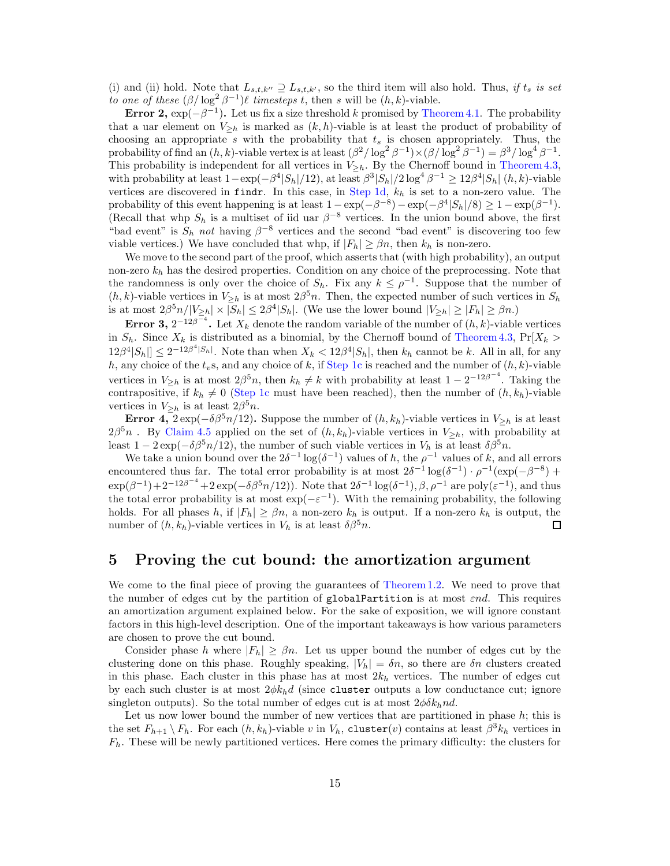(i) and (ii) hold. Note that  $L_{s,t,k''}\supseteq L_{s,t,k'}$ , so the third item will also hold. Thus, if  $t_s$  is set to one of these  $(\beta/\log^2 \beta^{-1})\ell$  timesteps t, then s will be  $(h, k)$ -viable.

Error 2,  $\exp(-\beta^{-1})$ . Let us fix a size threshold k promised by [Theorem 4.1.](#page-11-1) The probability that a uar element on  $V_{\geq h}$  is marked as  $(k, h)$ -viable is at least the product of probability of choosing an appropriate s with the probability that  $t_s$  is chosen appropriately. Thus, the probability of find an  $(h, k)$ -viable vertex is at least  $(\beta^2/\log^2 \beta^{-1}) \times (\beta/\log^2 \beta^{-1}) = \beta^3/\log^4 \beta^{-1}$ . This probability is independent for all vertices in  $V_{\geq h}$ . By the Chernoff bound in [Theorem 4.3,](#page-12-2) with probability at least  $1 - \exp(-\beta^4 |S_h|/12)$ , at least  $\beta^3 |S_h|/2 \log^4 \beta^{-1} \ge 12\beta^4 |S_h| (h, k)$ -viable vertices are discovered in findr. In this case, in [Step 1d,](#page-14-1)  $k_h$  is set to a non-zero value. The probability of this event happening is at least  $1 - \exp(-\beta^{-8}) - \exp(-\beta^4 |S_h|/8) \ge 1 - \exp(\beta^{-1}).$ (Recall that whp  $S_h$  is a multiset of iid uar  $\beta^{-8}$  vertices. In the union bound above, the first "bad event" is  $S_h$  not having  $\beta^{-8}$  vertices and the second "bad event" is discovering too few viable vertices.) We have concluded that whp, if  $|F_h| \geq \beta n$ , then  $k_h$  is non-zero.

We move to the second part of the proof, which asserts that (with high probability), an output non-zero  $k_h$  has the desired properties. Condition on any choice of the preprocessing. Note that the randomness is only over the choice of  $S_h$ . Fix any  $k \leq \rho^{-1}$ . Suppose that the number of  $(h, k)$ -viable vertices in  $V_{\geq h}$  is at most  $2\beta^5 n$ . Then, the expected number of such vertices in  $S_h$ is at most  $2\beta^5 n/|V_{\geq h}| \times |S_h| \leq 2\beta^4 |S_h|$ . (We use the lower bound  $|V_{\geq h}| \geq |F_h| \geq \beta n$ .)

**Error 3,**  $2^{-12\beta^{-4}}$ . Let  $X_k$  denote the random variable of the number of  $(h, k)$ -viable vertices in  $S_h$ . Since  $X_k$  is distributed as a binomial, by the Chernoff bound of [Theorem 4.3,](#page-12-2)  $Pr[X_k >$  $12\beta^4|S_h| \leq 2^{-12\beta^4|S_h|}$ . Note than when  $X_k < 12\beta^4|S_h|$ , then  $k_h$  cannot be k. All in all, for any h, any choice of the  $t_v$ s, and any choice of k, if [Step 1c](#page-14-0) is reached and the number of  $(h, k)$ -viable vertices in  $V_{\geq h}$  is at most  $2\beta^5 n$ , then  $k_h \neq k$  with probability at least  $1 - 2^{-12\beta^{-4}}$ . Taking the contrapositive, if  $k_h \neq 0$  [\(Step 1c](#page-14-0) must have been reached), then the number of  $(h, k_h)$ -viable vertices in  $V_{\geq h}$  is at least  $2\beta^5 n$ .

Error 4,  $2 \exp(-\delta \beta^5 n/12)$ . Suppose the number of  $(h, k_h)$ -viable vertices in  $V_{\geq h}$  is at least  $2\beta^5n$ . By [Claim 4.5](#page-12-1) applied on the set of  $(h, k_h)$ -viable vertices in  $V_{\geq h}$ , with probability at least  $1 - 2 \exp(-\delta \beta^5 n/12)$ , the number of such viable vertices in  $V_h$  is at least  $\delta \beta^5 n$ .

We take a union bound over the  $2\delta^{-1} \log(\delta^{-1})$  values of h, the  $\rho^{-1}$  values of k, and all errors encountered thus far. The total error probability is at most  $2\delta^{-1} \log(\delta^{-1}) \cdot \rho^{-1} (\exp(-\beta^{-8}) +$  $\exp(\beta^{-1}) + 2^{-12\beta^{-4}} + 2\exp(-\delta\beta^5 n/12)$ . Note that  $2\delta^{-1}\log(\delta^{-1}), \beta, \rho^{-1}$  are  $\text{poly}(\varepsilon^{-1}),$  and thus the total error probability is at most  $\exp(-\varepsilon^{-1})$ . With the remaining probability, the following holds. For all phases h, if  $|F_h| \geq \beta n$ , a non-zero  $k_h$  is output. If a non-zero  $k_h$  is output, the number of  $(h, k_h)$ -viable vertices in  $V_h$  is at least  $\delta \beta^5 n$ . number of  $(h, k_h)$ -viable vertices in  $V_h$  is at least  $\delta \beta^5 n$ .

### <span id="page-15-0"></span>5 Proving the cut bound: the amortization argument

We come to the final piece of proving the guarantees of [Theorem 1.2.](#page-2-0) We need to prove that the number of edges cut by the partition of globalPartition is at most εnd. This requires an amortization argument explained below. For the sake of exposition, we will ignore constant factors in this high-level description. One of the important takeaways is how various parameters are chosen to prove the cut bound.

Consider phase h where  $|F_h| \geq \beta n$ . Let us upper bound the number of edges cut by the clustering done on this phase. Roughly speaking,  $|V_h| = \delta n$ , so there are  $\delta n$  clusters created in this phase. Each cluster in this phase has at most  $2k<sub>h</sub>$  vertices. The number of edges cut by each such cluster is at most  $2\phi k_h d$  (since cluster outputs a low conductance cut; ignore singleton outputs). So the total number of edges cut is at most  $2\phi\delta k_hnd$ .

Let us now lower bound the number of new vertices that are partitioned in phase  $h$ ; this is the set  $F_{h+1} \setminus F_h$ . For each  $(h, k_h)$ -viable v in  $V_h$ , cluster(v) contains at least  $\beta^3 k_h$  vertices in  $F_h$ . These will be newly partitioned vertices. Here comes the primary difficulty: the clusters for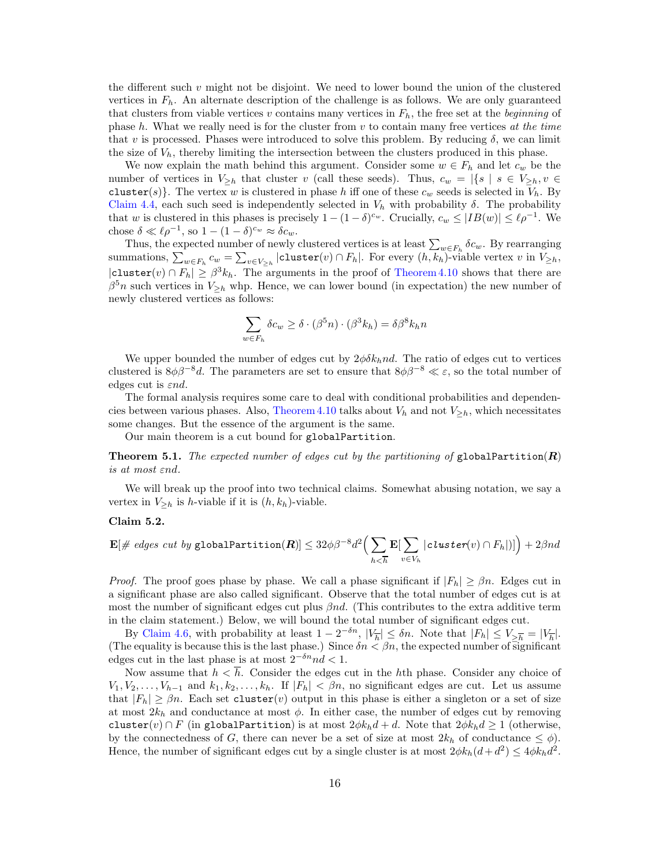the different such  $v$  might not be disjoint. We need to lower bound the union of the clustered vertices in  $F_h$ . An alternate description of the challenge is as follows. We are only guaranteed that clusters from viable vertices v contains many vertices in  $F_h$ , the free set at the *beginning* of phase  $h$ . What we really need is for the cluster from  $v$  to contain many free vertices at the time that v is processed. Phases were introduced to solve this problem. By reducing  $\delta$ , we can limit the size of  $V_h$ , thereby limiting the intersection between the clusters produced in this phase.

We now explain the math behind this argument. Consider some  $w \in F_h$  and let  $c_w$  be the number of vertices in  $V_{\geq h}$  that cluster v (call these seeds). Thus,  $c_w = |\{s \mid s \in V_{\geq h}, v \in$ cluster(s). The vertex w is clustered in phase h iff one of these  $c_w$  seeds is selected in  $V_h$ . By [Claim 4.4,](#page-12-0) each such seed is independently selected in  $V<sub>h</sub>$  with probability  $\delta$ . The probability that w is clustered in this phases is precisely  $1 - (1 - \delta)^{c_w}$ . Crucially,  $c_w \leq |IB(w)| \leq \ell \rho^{-1}$ . We chose  $\delta \ll \ell \rho^{-1}$ , so  $1 - (1 - \delta)^{c_w} \approx \delta c_w$ .

Thus, the expected number of newly clustered vertices is at least  $\sum_{w \in F_h} \delta c_w$ . By rearranging summations,  $\sum_{w \in F_h} c_w = \sum_{v \in V_{\geq h}} |\text{cluster}(v) \cap F_h|$ . For every  $(h, k_h)$ -viable vertex v in  $V_{\geq h}$ ,  $|\texttt{cluster}(v) \cap F_h| \geq \beta^3 k_h$ . The arguments in the proof of [Theorem 4.10](#page-14-2) shows that there are  $\beta^5 n$  such vertices in  $V_{\geq h}$  whp. Hence, we can lower bound (in expectation) the new number of newly clustered vertices as follows:

$$
\sum_{w \in F_h} \delta c_w \ge \delta \cdot (\beta^5 n) \cdot (\beta^3 k_h) = \delta \beta^8 k_h n
$$

We upper bounded the number of edges cut by  $2\phi\delta k_hnd$ . The ratio of edges cut to vertices clustered is  $8\phi\beta^{-8}d$ . The parameters are set to ensure that  $8\phi\beta^{-8} \ll \varepsilon$ , so the total number of edges cut is  $\varepsilon nd$ .

The formal analysis requires some care to deal with conditional probabilities and dependen-cies between various phases. Also, [Theorem 4.10](#page-14-2) talks about  $V_h$  and not  $V_{\geq h}$ , which necessitates some changes. But the essence of the argument is the same.

Our main theorem is a cut bound for globalPartition.

<span id="page-16-0"></span>**Theorem 5.1.** The expected number of edges cut by the partitioning of globalPartition(R) is at most εnd.

We will break up the proof into two technical claims. Somewhat abusing notation, we say a vertex in  $V_{\geq h}$  is *h*-viable if it is  $(h, k_h)$ -viable.

#### <span id="page-16-1"></span>Claim 5.2.

$$
\mathbf{E}[\text{# edges cut by globalPartition}(\mathbf{R})] \leq 32 \phi \beta^{-8} d^2 \Big(\sum_{h \leq \overline{h}} \mathbf{E}[\sum_{v \in V_h} | \text{cluster}(v) \cap F_h |)]\Big) + 2 \beta nd
$$

*Proof.* The proof goes phase by phase. We call a phase significant if  $|F_h| \geq \beta n$ . Edges cut in a significant phase are also called significant. Observe that the total number of edges cut is at most the number of significant edges cut plus  $\beta nd$ . (This contributes to the extra additive term in the claim statement.) Below, we will bound the total number of significant edges cut.

By [Claim 4.6,](#page-12-3) with probability at least  $1 - 2^{-\delta n}$ ,  $|V_{\overline{h}}| \leq \delta n$ . Note that  $|F_h| \leq V_{\overline{\delta}} = |V_{\overline{h}}|$ . (The equality is because this is the last phase.) Since  $\delta n < \beta n$ , the expected number of significant edges cut in the last phase is at most  $2^{-\delta n}nd < 1$ .

Now assume that  $h < \overline{h}$ . Consider the edges cut in the hth phase. Consider any choice of  $V_1, V_2, \ldots, V_{h-1}$  and  $k_1, k_2, \ldots, k_h$ . If  $|F_h| < \beta n$ , no significant edges are cut. Let us assume that  $|F_h| \geq \beta n$ . Each set cluster(v) output in this phase is either a singleton or a set of size at most  $2k_h$  and conductance at most  $\phi$ . In either case, the number of edges cut by removing cluster(v) ∩ F (in globalPartition) is at most  $2\phi k_h d + d$ . Note that  $2\phi k_h d \ge 1$  (otherwise, by the connectedness of G, there can never be a set of size at most  $2k_h$  of conductance  $\leq \phi$ ). Hence, the number of significant edges cut by a single cluster is at most  $2\phi k_h(d+d^2) \leq 4\phi k_h d^2$ .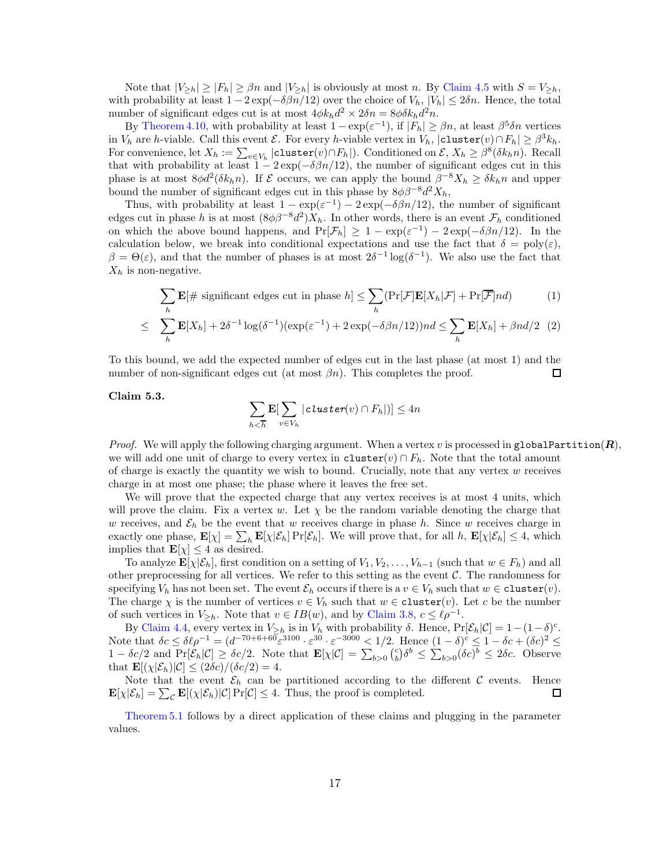Note that  $|V_{\geq h}| \geq |F_h| \geq \beta n$  and  $|V_{\geq h}|$  is obviously at most n. By [Claim 4.5](#page-12-1) with  $S = V_{\geq h}$ , with probability at least  $1 - 2 \exp(-\delta \beta n/12)$  over the choice of  $V_h$ ,  $|V_h| \le 2\delta n$ . Hence, the total number of significant edges cut is at most  $4\phi k_h d^2 \times 2\delta n = 8\phi \delta k_h d^2 n$ .

By [Theorem 4.10,](#page-14-2) with probability at least  $1 - \exp(\varepsilon^{-1})$ , if  $|F_h| \geq \beta n$ , at least  $\beta^5 \delta n$  vertices in  $V_h$  are h-viable. Call this event  $\mathcal{E}$ . For every h-viable vertex in  $V_h$ ,  $|$ cluster $(v) \cap F_h| \geq \beta^3 k_h$ . For convenience, let  $X_h := \sum_{v \in V_h} |\texttt{cluster}(v) \cap F_h|$ . Conditioned on  $\mathcal{E}, X_h \geq \beta^8(\delta k_h n)$ . Recall that with probability at least  $1 - 2 \exp(-\delta \beta n/12)$ , the number of significant edges cut in this phase is at most  $8\phi d^2(\delta k_h n)$ . If  $\mathcal E$  occurs, we can apply the bound  $\beta^{-8}X_h \ge \delta k_h n$  and upper bound the number of significant edges cut in this phase by  $8\phi\beta^{-8}d^2X_h$ ,

Thus, with probability at least  $1 - \exp(\varepsilon^{-1}) - 2 \exp(-\delta \beta n/12)$ , the number of significant edges cut in phase h is at most  $(8\phi\beta^{-8}d^2)X_h$ . In other words, there is an event  $\mathcal{F}_h$  conditioned on which the above bound happens, and  $Pr[\mathcal{F}_h] \geq 1 - exp(\varepsilon^{-1}) - 2exp(-\delta\beta n/12)$ . In the calculation below, we break into conditional expectations and use the fact that  $\delta = \text{poly}(\varepsilon)$ ,  $\beta = \Theta(\varepsilon)$ , and that the number of phases is at most  $2\delta^{-1} \log(\delta^{-1})$ . We also use the fact that  $X_h$  is non-negative.

$$
\sum_{h} \mathbf{E}[\# \text{ significant edges cut in phase } h] \leq \sum_{h} (\Pr[\mathcal{F}] \mathbf{E}[X_h | \mathcal{F}] + \Pr[\overline{\mathcal{F}}] nd)
$$
(1)

$$
\leq \sum_{h} \mathbf{E}[X_h] + 2\delta^{-1} \log(\delta^{-1}) (\exp(\varepsilon^{-1}) + 2 \exp(-\delta \beta n/12)) n d \leq \sum_{h} \mathbf{E}[X_h] + \beta n d/2 \quad (2)
$$

To this bound, we add the expected number of edges cut in the last phase (at most 1) and the number of non-significant edges cut (at most  $\beta n$ ). This completes the proof.  $\Box$ 

#### <span id="page-17-0"></span>Claim 5.3.

$$
\sum_{h<\overline{h}}\mathbf{E}[\sum_{v\in V_h}|\textit{cluster}(v)\cap F_h|)]\leq 4n
$$

*Proof.* We will apply the following charging argument. When a vertex v is processed in globalPartition( $R$ ), we will add one unit of charge to every vertex in cluster(v)  $\cap F_h$ . Note that the total amount of charge is exactly the quantity we wish to bound. Crucially, note that any vertex  $w$  receives charge in at most one phase; the phase where it leaves the free set.

We will prove that the expected charge that any vertex receives is at most 4 units, which will prove the claim. Fix a vertex w. Let  $\chi$  be the random variable denoting the charge that w receives, and  $\mathcal{E}_h$  be the event that w receives charge in phase h. Since w receives charge in exactly one phase,  $\mathbf{E}[\chi] = \sum_{h} \mathbf{E}[\chi|\mathcal{E}_h] \Pr[\mathcal{E}_h]$ . We will prove that, for all h,  $\mathbf{E}[\chi|\mathcal{E}_h] \leq 4$ , which implies that  $\mathbf{E}[\chi] \leq 4$  as desired.

To analyze  $\mathbf{E}[\chi|\mathcal{E}_h]$ , first condition on a setting of  $V_1, V_2, \ldots, V_{h-1}$  (such that  $w \in F_h$ ) and all other preprocessing for all vertices. We refer to this setting as the event  $\mathcal{C}$ . The randomness for specifying  $V_h$  has not been set. The event  $\mathcal{E}_h$  occurs if there is a  $v \in V_h$  such that  $w \in \text{cluster}(v)$ . The charge  $\chi$  is the number of vertices  $v \in V_h$  such that  $w \in$  cluster(v). Let c be the number of such vertices in  $V_{\geq h}$ . Note that  $v \in IB(w)$ , and by [Claim 3.8,](#page-9-2)  $c \leq \ell \rho^{-1}$ .

By [Claim 4.4,](#page-12-0) every vertex in  $V_{\geq h}$  is in  $V_h$  with probability  $\delta$ . Hence,  $Pr[\mathcal{E}_h|\mathcal{C}] = 1-(1-\delta)^c$ . Note that  $\delta c \leq \delta \ell \rho^{-1} = (d^{-70+6+60} \varepsilon^{3100} \cdot \varepsilon^{30} \cdot \varepsilon^{-3000} \leq 1/2$ . Hence  $(1 - \delta)^c \leq 1 - \delta c + (\delta c)^2 \leq$  $1 - \delta c/2$  and  $\Pr[\mathcal{E}_h | \mathcal{C}] \geq \delta c/2$ . Note that  $\mathbf{E}[\chi | \mathcal{C}] = \sum_{b>0} {c \choose b} \delta^b \leq \sum_{b>0} (\delta c)^b \leq 2\delta c$ . Observe that  $\mathbf{E}[(\chi|\mathcal{E}_h)|\mathcal{C}] \leq (2\delta c)/(\delta c/2) = 4.$ 

Note that the event  $\mathcal{E}_h$  can be partitioned according to the different C events. Hence  $|\mathcal{E}_h| = \sum_c \mathbf{E}[(\chi|\mathcal{E}_h)|C] \Pr[C] \leq 4$ . Thus, the proof is completed.  $\mathbf{E}[\chi|\mathcal{E}_h] = \sum_{\mathcal{C}} \mathbf{E}[(\chi|\mathcal{E}_h)|\mathcal{C}] \Pr[\mathcal{C}] \leq 4.$  Thus, the proof is completed.

[Theorem 5.1](#page-16-0) follows by a direct application of these claims and plugging in the parameter values.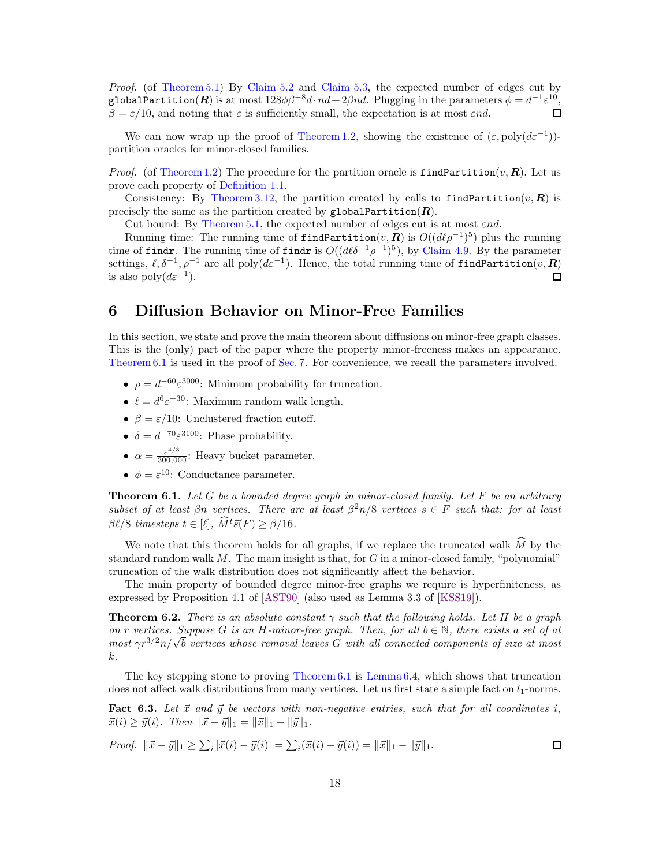<span id="page-18-4"></span>Proof. (of [Theorem 5.1\)](#page-16-0) By [Claim 5.2](#page-16-1) and [Claim 5.3,](#page-17-0) the expected number of edges cut by globalPartition( $\boldsymbol{R}$ ) is at most  $128\phi\beta^{-8}d\cdot nd+2\beta nd$ . Plugging in the parameters  $\phi=d^{-1}\varepsilon^{10}$ ,  $\beta = \varepsilon/10$ , and noting that  $\varepsilon$  is sufficiently small, the expectation is at most  $\varepsilon nd$ .  $\Box$ 

We can now wrap up the proof of [Theorem 1.2,](#page-2-0) showing the existence of  $(\varepsilon, \text{poly}(d\varepsilon^{-1}))$ partition oracles for minor-closed families.

*Proof.* (of [Theorem 1.2\)](#page-2-0) The procedure for the partition oracle is findPartition $(v, \mathbf{R})$ . Let us prove each property of [Definition 1.1.](#page-1-0)

Consistency: By [Theorem 3.12,](#page-11-3) the partition created by calls to findPartition $(v, R)$  is precisely the same as the partition created by globalPartition( $R$ ).

Cut bound: By [Theorem 5.1,](#page-16-0) the expected number of edges cut is at most  $\varepsilon nd$ .

Running time: The running time of findPartition $(v, \tilde{\boldsymbol{R}})$  is  $O((d\ell \rho^{-1})^5)$  plus the running time of findr. The running time of findr is  $O((d\ell\delta^{-1}\rho^{-1})^5)$ , by [Claim 4.9.](#page-14-3) By the parameter settings,  $\ell, \delta^{-1}, \rho^{-1}$  are all  $\text{poly}(d\varepsilon^{-1})$ . Hence, the total running time of findPartition $(v, \mathbf{R})$ is also  $\text{poly}(d\varepsilon^{-1})$ .  $\Box$ 

### <span id="page-18-0"></span>6 Diffusion Behavior on Minor-Free Families

In this section, we state and prove the main theorem about diffusions on minor-free graph classes. This is the (only) part of the paper where the property minor-freeness makes an appearance. [Theorem 6.1](#page-18-1) is used in the proof of [Sec. 7.](#page-20-0) For convenience, we recall the parameters involved.

- $\rho = d^{-60} \varepsilon^{3000}$ : Minimum probability for truncation.
- $\ell = d^6 \varepsilon^{-30}$ : Maximum random walk length.
- $\beta = \varepsilon/10$ : Unclustered fraction cutoff.
- $\delta = d^{-70} \varepsilon^{3100}$ : Phase probability.
- $\alpha = \frac{\varepsilon^{4/3}}{300,000}$ : Heavy bucket parameter.
- $\phi = \varepsilon^{10}$ : Conductance parameter.

<span id="page-18-1"></span>**Theorem 6.1.** Let G be a bounded degree graph in minor-closed family. Let F be an arbitrary subset of at least  $\beta n$  vertices. There are at least  $\beta^2 n/8$  vertices  $s \in F$  such that: for at least  $\beta \ell/8$  timesteps  $t \in [\ell], \widehat{M}^t \vec{s}(F) \geq \beta/16.$ 

We note that this theorem holds for all graphs, if we replace the truncated walk  $\overline{M}$  by the standard random walk  $M$ . The main insight is that, for  $G$  in a minor-closed family, "polynomial" truncation of the walk distribution does not significantly affect the behavior.

The main property of bounded degree minor-free graphs we require is hyperfiniteness, as expressed by Proposition 4.1 of [\[AST90\]](#page-28-6) (also used as Lemma 3.3 of [\[KSS19\]](#page-29-13)).

<span id="page-18-2"></span>**Theorem 6.2.** There is an absolute constant  $\gamma$  such that the following holds. Let H be a graph on r vertices. Suppose G is an H-minor-free graph. Then, for all  $b \in \mathbb{N}$ , there exists a set of at most  $\gamma r^{3/2} n / \sqrt{b}$  vertices whose removal leaves G with all connected components of size at most k.

The key stepping stone to proving [Theorem 6.1](#page-18-1) is [Lemma 6.4,](#page-19-0) which shows that truncation does not affect walk distributions from many vertices. Let us first state a simple fact on  $l_1$ -norms.

<span id="page-18-3"></span>Fact 6.3. Let  $\vec{x}$  and  $\vec{y}$  be vectors with non-negative entries, such that for all coordinates i,  $\vec{x}(i) \geq \vec{y}(i)$ . Then  $\|\vec{x} - \vec{y}\|_1 = \|\vec{x}\|_1 - \|\vec{y}\|_1$ .

*Proof.* 
$$
\|\vec{x} - \vec{y}\|_1 \ge \sum_i |\vec{x}(i) - \vec{y}(i)| = \sum_i (\vec{x}(i) - \vec{y}(i)) = \|\vec{x}\|_1 - \|\vec{y}\|_1.
$$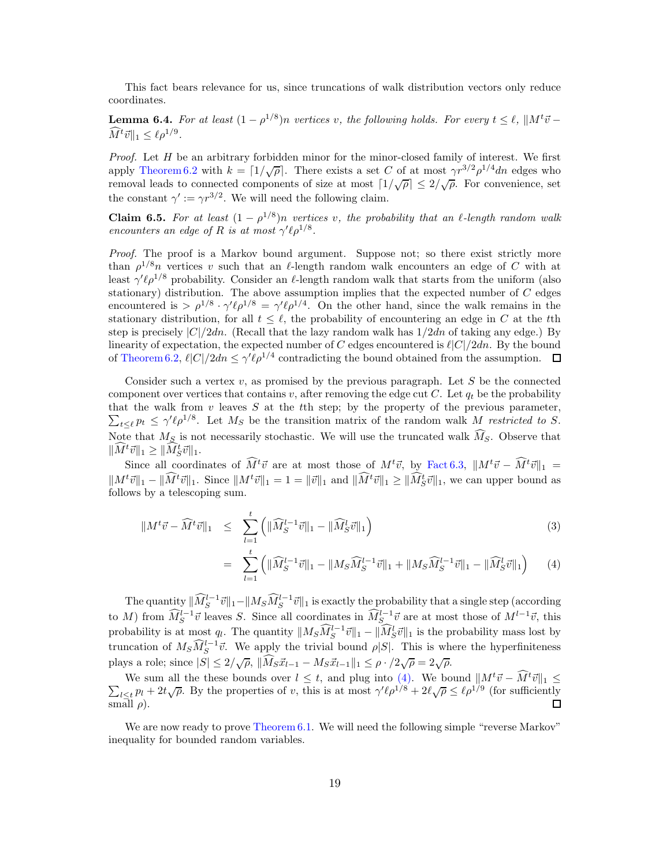This fact bears relevance for us, since truncations of walk distribution vectors only reduce coordinates.

<span id="page-19-0"></span>**Lemma 6.4.** For at least  $(1 - \rho^{1/8})n$  vertices v, the following holds. For every  $t \leq \ell$ ,  $||M^t\vec{v} - \vec{v}||$  $\widehat{M}^t \vec{v} \|_1 \leq \ell \rho^{1/9}.$ 

*Proof.* Let  $H$  be an arbitrary forbidden minor for the minor-closed family of interest. We first apply [Theorem 6.2](#page-18-2) with  $k = \lfloor 1/\sqrt{\rho} \rfloor$ . There exists a set C of at most  $\gamma r^{3/2} \rho^{1/4}$ dn edges who removal leads to connected components of size at most  $\lceil 1/\sqrt{\rho} \rceil \leq 2/\sqrt{\rho}$ . For convenience, set the constant  $\gamma' := \gamma r^{3/2}$ . We will need the following claim.

**Claim 6.5.** For at least  $(1 - \rho^{1/8})n$  vertices v, the probability that an  $\ell$ -length random walk encounters an edge of R is at most  $\gamma' \ell \rho^{1/8}$ .

Proof. The proof is a Markov bound argument. Suppose not; so there exist strictly more than  $\rho^{1/8}n$  vertices v such that an  $\ell$ -length random walk encounters an edge of C with at least  $\gamma' \ell \rho^{1/8}$  probability. Consider an  $\ell$ -length random walk that starts from the uniform (also stationary) distribution. The above assumption implies that the expected number of  $C$  edges encountered is  $> \rho^{1/8} \cdot \gamma' \ell \rho^{1/8} = \gamma' \ell \rho^{1/4}$ . On the other hand, since the walk remains in the stationary distribution, for all  $t \leq \ell$ , the probability of encountering an edge in C at the tth step is precisely  $|C|/2dn$ . (Recall that the lazy random walk has  $1/2dn$  of taking any edge.) By linearity of expectation, the expected number of C edges encountered is  $\ell |C|/2dn$ . By the bound of [Theorem 6.2,](#page-18-2)  $\ell |C|/2dn \leq \gamma' \ell \rho^{1/4}$  contradicting the bound obtained from the assumption.

Consider such a vertex  $v$ , as promised by the previous paragraph. Let  $S$  be the connected component over vertices that contains v, after removing the edge cut C. Let  $q_t$  be the probability that the walk from  $v$  leaves  $S$  at the tth step; by the property of the previous parameter,  $\sum_{t\leq \ell} p_t \leq \gamma' \ell \rho^{1/8}$ . Let  $M_S$  be the transition matrix of the random walk M restricted to S. Note that  $M_S$  is not necessarily stochastic. We will use the truncated walk  $\widehat{M}_S$ . Observe that  $\|\widehat{M}^t\vec{v}\|_1 \geq \|\widehat{M}_S^t\vec{v}\|_1.$ 

Since all coordinates of  $\widehat{M}^t \vec{v}$  are at most those of  $M^t \vec{v}$ , by [Fact 6.3,](#page-18-3)  $\|M^t \vec{v} - \widehat{M}^t \vec{v}\|_1 =$  $||M^t\vec{v}||_1 - ||\hat{M}^t\vec{v}||_1$ . Since  $||M^t\vec{v}||_1 = 1 = ||\vec{v}||_1$  and  $||\hat{M}^t\vec{v}||_1 \geq ||\hat{M}^t_S\vec{v}||_1$ , we can upper bound as follows by a telescoping sum.

<span id="page-19-1"></span>
$$
\|M^t\vec{v} - \widehat{M}^t\vec{v}\|_1 \leq \sum_{l=1}^t \left( \|\widehat{M}_S^{l-1}\vec{v}\|_1 - \|\widehat{M}_S^l\vec{v}\|_1 \right) \tag{3}
$$

$$
= \sum_{l=1}^{t} \left( \|\widehat{M}_S^{l-1}\vec{v}\|_1 - \|M_S\widehat{M}_S^{l-1}\vec{v}\|_1 + \|M_S\widehat{M}_S^{l-1}\vec{v}\|_1 - \|\widehat{M}_S^{l}\vec{v}\|_1 \right) \tag{4}
$$

The quantity  $\|\widehat{M}_S^{l-1}\vec{v}\|_1 - \|M_S\widehat{M}_S^{l-1}\vec{v}\|_1$  is exactly the probability that a single step (according to M) from  $\widehat{M}_S^{l-1} \vec{v}$  leaves S. Since all coordinates in  $\widehat{M}_S^{l-1} \vec{v}$  are at most those of  $M^{l-1} \vec{v}$ , this probability is at most q<sub>l</sub>. The quantity  $||M_S \widehat{M}_S^{l-1} \vec{v}||_1 - ||\widehat{M}_S^l \vec{v}||_1$  is the probability mass lost by truncation of  $M_S \widetilde{M}_S^{l-1} \vec{v}$ . We apply the trivial bound  $\rho|S|$ . This is where the hyperfiniteness plays a role; since  $|S| \leq 2/\sqrt{\rho}$ ,  $\|\widehat{M}_S \vec{x}_{l-1} - M_S \vec{x}_{l-1}\|_1 \leq \rho \cdot /2\sqrt{\rho} = 2\sqrt{\rho}$ .

We sum all the these bounds over  $l \leq t$ , and plug into [\(4\).](#page-19-1) We bound  $||M^t\vec{v} - \vec{M}^t\vec{v}||_1 \leq \sum_{l \geq l} p_l + 2t \sqrt{\rho}$ . By the properties of v, this is at most  $\gamma' \ell \rho^{1/8} + 2\ell \sqrt{\rho} \leq \ell \rho^{1/9}$  (for sufficiently  $\ell \leq t p_l + 2t \sqrt{\rho}$ . By the properties of v, this is at most  $\gamma' \ell \rho^{1/8} + 2\ell \sqrt{\rho} \leq \ell \rho^{1/9}$  (for sufficiently  $\Box$ small  $\rho$ ).

We are now ready to prove [Theorem 6.1.](#page-18-1) We will need the following simple "reverse Markov" inequality for bounded random variables.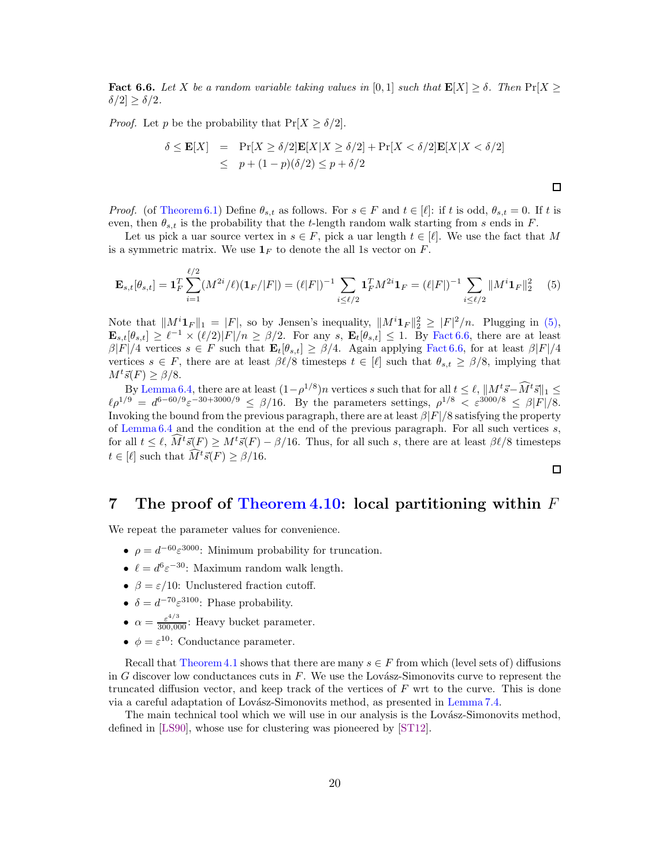<span id="page-20-3"></span><span id="page-20-2"></span>**Fact 6.6.** Let X be a random variable taking values in [0, 1] such that  $\mathbf{E}[X] \geq \delta$ . Then  $\Pr[X \geq \delta]$  $\delta/2 \geq \delta/2$ .

*Proof.* Let p be the probability that  $Pr[X \ge \delta/2]$ .

$$
\delta \le \mathbf{E}[X] = \Pr[X \ge \delta/2] \mathbf{E}[X|X \ge \delta/2] + \Pr[X < \delta/2] \mathbf{E}[X|X < \delta/2] \\
\le p + (1 - p)(\delta/2) \le p + \delta/2
$$

*Proof.* (of [Theorem 6.1\)](#page-18-1) Define  $\theta_{s,t}$  as follows. For  $s \in F$  and  $t \in [\ell]$ : if t is odd,  $\theta_{s,t} = 0$ . If t is even, then  $\theta_{s,t}$  is the probability that the t-length random walk starting from s ends in F.

Let us pick a uar source vertex in  $s \in F$ , pick a uar length  $t \in [\ell]$ . We use the fact that M is a symmetric matrix. We use  $\mathbf{1}_F$  to denote the all 1s vector on F.

<span id="page-20-1"></span>
$$
\mathbf{E}_{s,t}[\theta_{s,t}] = \mathbf{1}_F^T \sum_{i=1}^{\ell/2} (M^{2i}/\ell)(\mathbf{1}_F/|F|) = (\ell|F|)^{-1} \sum_{i \le \ell/2} \mathbf{1}_F^T M^{2i} \mathbf{1}_F = (\ell|F|)^{-1} \sum_{i \le \ell/2} ||M^i \mathbf{1}_F||_2^2 \tag{5}
$$

Note that  $||M^i1_F||_1 = |F|$ , so by Jensen's inequality,  $||M^i1_F||_2^2 \geq |F|^2/n$ . Plugging in [\(5\),](#page-20-1)  $\mathbf{E}_{s,t}[\theta_{s,t}] \geq \ell^{-1} \times (\ell/2)|F|/n \geq \beta/2$ . For any s,  $\mathbf{E}_t[\theta_{s,t}] \leq 1$ . By [Fact 6.6,](#page-20-2) there are at least  $\beta|F|/4$  vertices  $s \in F$  such that  $\mathbf{E}_t[\theta_{s,t}] \geq \beta/4$ . Again applying [Fact 6.6,](#page-20-2) for at least  $\beta|F|/4$ vertices  $s \in F$ , there are at least  $\beta \ell/8$  timesteps  $t \in [\ell]$  such that  $\theta_{s,t} \geq \beta/8$ , implying that  $M^t\vec{s}(F) > \beta/8.$ 

By [Lemma 6.4,](#page-19-0) there are at least  $(1-\rho^{1/8})n$  vertices s such that for all  $t \leq \ell$ ,  $||M^t\vec{s} - \tilde{M}^t\vec{s}||_1 \leq$  $\ell \rho^{1/9} = d^{6-60/9} \varepsilon^{-30+3000/9} \leq \beta/16$ . By the parameters settings,  $\rho^{1/8} < \varepsilon^{3000/8} \leq \beta |F|/8$ . Invoking the bound from the previous paragraph, there are at least  $\beta |F|/8$  satisfying the property of Lemma  $6.4$  and the condition at the end of the previous paragraph. For all such vertices s, for all  $t \leq \ell$ ,  $M^{t}\vec{s}(F) \geq M^{t}\vec{s}(F) - \beta/16$ . Thus, for all such s, there are at least  $\beta\ell/8$  timesteps  $t \in [\ell]$  such that  $\widehat{M}^t \vec{s}(F) \ge \beta/16$ .

 $\Box$ 

 $\Box$ 

### <span id="page-20-0"></span>7 The proof of [Theorem 4.10:](#page-14-2) local partitioning within  $F$

We repeat the parameter values for convenience.

- $\rho = d^{-60} \varepsilon^{3000}$ : Minimum probability for truncation.
- $\ell = d^6 \varepsilon^{-30}$ : Maximum random walk length.
- $\beta = \varepsilon/10$ : Unclustered fraction cutoff.
- $\delta = d^{-70} \varepsilon^{3100}$ : Phase probability.
- $\alpha = \frac{\varepsilon^{4/3}}{300,000}$ : Heavy bucket parameter.
- $\phi = \varepsilon^{10}$ : Conductance parameter.

Recall that [Theorem 4.1](#page-11-1) shows that there are many  $s \in F$  from which (level sets of) diffusions in G discover low conductances cuts in  $F$ . We use the Lovász-Simonovits curve to represent the truncated diffusion vector, and keep track of the vertices of  $F$  wrt to the curve. This is done via a careful adaptation of Lovász-Simonovits method, as presented in [Lemma 7.4.](#page-21-0)

The main technical tool which we will use in our analysis is the Lovász-Simonovits method, defined in [\[LS90\]](#page-29-16), whose use for clustering was pioneered by [\[ST12\]](#page-29-15).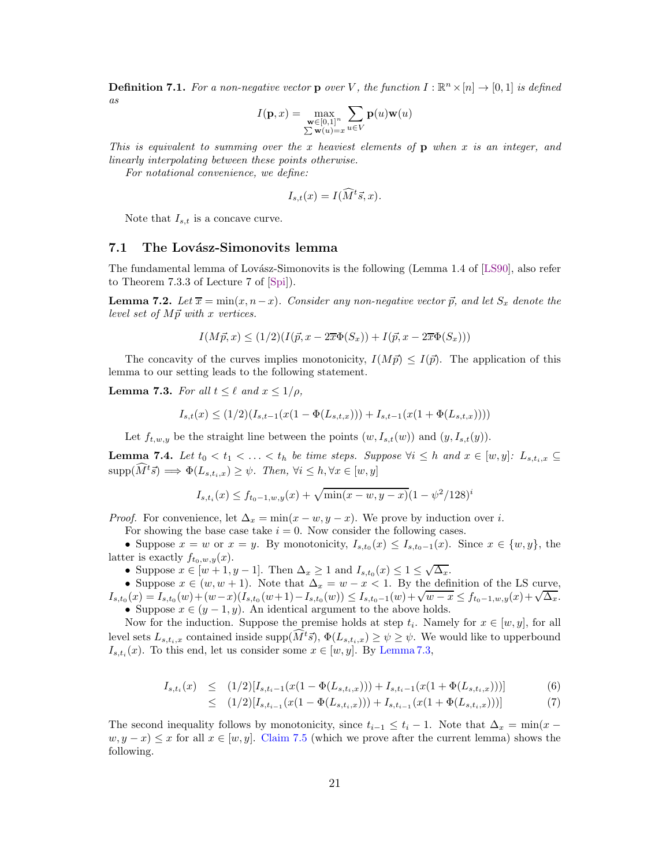<span id="page-21-2"></span>**Definition 7.1.** For a non-negative vector **p** over V, the function  $I : \mathbb{R}^n \times [n] \to [0, 1]$  is defined as

$$
I(\mathbf{p},x)=\max_{\substack{\mathbf{w}\in[0,1]^n\\ \sum\mathbf{w}(u)=x}}\sum_{u\in V}\mathbf{p}(u)\mathbf{w}(u)
$$

This is equivalent to summing over the x heaviest elements of  $\bf{p}$  when x is an integer, and linearly interpolating between these points otherwise.

For notational convenience, we define:

$$
I_{s,t}(x) = I(\widehat{M}^t \vec{s}, x).
$$

Note that  $I_{s,t}$  is a concave curve.

#### 7.1 The Lovász-Simonovits lemma

The fundamental lemma of Lovász-Simonovits is the following (Lemma 1.4 of [\[LS90\]](#page-29-16), also refer to Theorem 7.3.3 of Lecture 7 of [\[Spi\]](#page-29-18)).

**Lemma 7.2.** Let  $\overline{x} = \min(x, n-x)$ . Consider any non-negative vector  $\overrightarrow{p}$ , and let  $S_x$  denote the level set of  $M \vec{p}$  with x vertices.

$$
I(M\vec{p},x) \le (1/2)(I(\vec{p},x - 2\overline{x}\Phi(S_x)) + I(\vec{p},x - 2\overline{x}\Phi(S_x)))
$$

The concavity of the curves implies monotonicity,  $I(M \vec{p}) \leq I(\vec{p})$ . The application of this lemma to our setting leads to the following statement.

<span id="page-21-1"></span>**Lemma 7.3.** For all  $t \leq \ell$  and  $x \leq 1/\rho$ ,

$$
I_{s,t}(x) \le (1/2)(I_{s,t-1}(x(1-\Phi(L_{s,t,x}))) + I_{s,t-1}(x(1+\Phi(L_{s,t,x}))))
$$

Let  $f_{t,w,y}$  be the straight line between the points  $(w, I_{s,t}(w))$  and  $(y, I_{s,t}(y))$ .

<span id="page-21-0"></span>**Lemma 7.4.** Let  $t_0 < t_1 < \ldots < t_h$  be time steps. Suppose  $\forall i \leq h$  and  $x \in [w, y]$ :  $L_{s,t_i,x} \subseteq$  $\text{supp}(\widehat{M}^t\vec{s}) \Longrightarrow \Phi(L_{s,t_i,x}) \geq \psi$ . Then,  $\forall i \leq h, \forall x \in [w, y]$ 

$$
I_{s,t_i}(x) \le f_{t_0-1,w,y}(x) + \sqrt{\min(x-w,y-x)}(1-\psi^2/128)^i
$$

*Proof.* For convenience, let  $\Delta_x = \min(x - w, y - x)$ . We prove by induction over i.

For showing the base case take  $i = 0$ . Now consider the following cases.

• Suppose  $x = w$  or  $x = y$ . By monotonicity,  $I_{s,t_0}(x) \leq I_{s,t_0-1}(x)$ . Since  $x \in \{w, y\}$ , the latter is exactly  $f_{t_0,w,y}(x)$ .

• Suppose  $x \in [w+1, y-1]$ . Then  $\Delta_x \geq 1$  and  $I_{s,t_0}(x) \leq 1 \leq \sqrt{\Delta_x}$ .

• Suppose  $x \in (w, w + 1)$ . Note that  $\Delta_x = w - x < 1$ . By the definition of the LS curve,  $I_{s,t_0}(x) = I_{s,t_0}(w) + (w-x)(I_{s,t_0}(w+1) - I_{s,t_0}(w)) \leq I_{s,t_0-1}(w) + \sqrt{w-x} \leq f_{t_0-1,w,y}(x) + \sqrt{\Delta_x}.$ • Suppose  $x \in (y-1, y)$ . An identical argument to the above holds.

Now for the induction. Suppose the premise holds at step  $t_i$ . Namely for  $x \in [w, y]$ , for all level sets  $L_{s,t_i,x}$  contained inside supp $(\widehat{M}^t\vec{s}), \Phi(L_{s,t_i,x}) \geq \psi \geq \psi$ . We would like to upperbound  $I_{s,t_i}(x)$ . To this end, let us consider some  $x \in [w, y]$ . By [Lemma 7.3,](#page-21-1)

$$
I_{s,t_i}(x) \leq (1/2)[I_{s,t_i-1}(x(1-\Phi(L_{s,t_i,x}))) + I_{s,t_i-1}(x(1+\Phi(L_{s,t_i,x})))]
$$
(6)

$$
\leq (1/2)[I_{s,t_{i-1}}(x(1-\Phi(L_{s,t_i,x}))) + I_{s,t_{i-1}}(x(1+\Phi(L_{s,t_i,x})))]
$$
\n
$$
(7)
$$

The second inequality follows by monotonicity, since  $t_{i-1} \leq t_i-1$ . Note that  $\Delta_x = \min(x$  $w, y - x) \leq x$  for all  $x \in [w, y]$ . [Claim 7.5](#page-22-0) (which we prove after the current lemma) shows the following.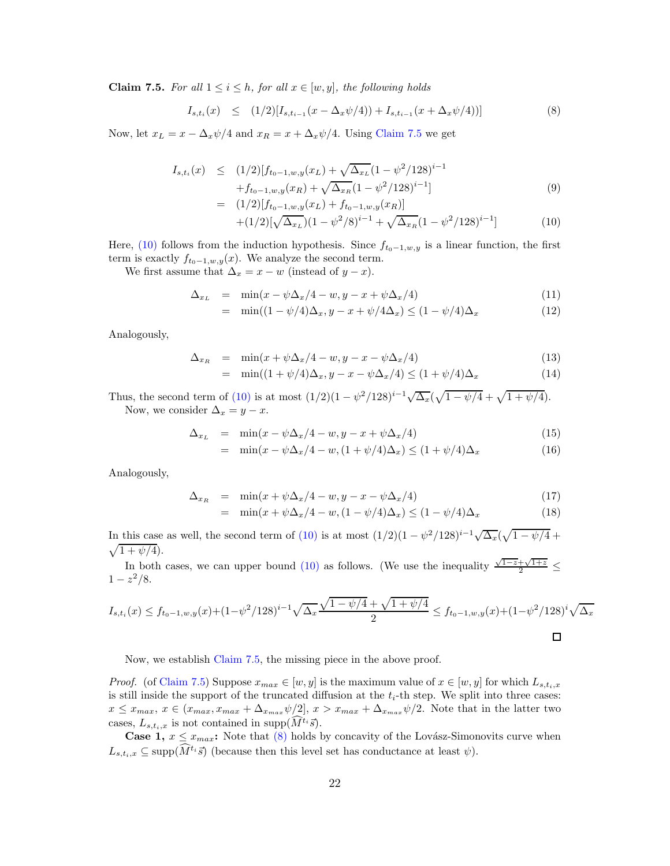<span id="page-22-0"></span>**Claim 7.5.** For all  $1 \leq i \leq h$ , for all  $x \in [w, y]$ , the following holds

<span id="page-22-2"></span>
$$
I_{s,t_i}(x) \leq (1/2)[I_{s,t_{i-1}}(x-\Delta_x\psi/4)) + I_{s,t_{i-1}}(x+\Delta_x\psi/4))]
$$
\n(8)

Now, let  $x_L = x - \Delta_x \psi/4$  and  $x_R = x + \Delta_x \psi/4$ . Using [Claim 7.5](#page-22-0) we get

<span id="page-22-1"></span>
$$
I_{s,t_i}(x) \le (1/2)[f_{t_0-1,w,y}(x_L) + \sqrt{\Delta_{x_L}}(1 - \psi^2/128)^{i-1} + f_{t_0-1,w,y}(x_R) + \sqrt{\Delta_{x_R}}(1 - \psi^2/128)^{i-1}]
$$
\n
$$
= (1/2)[f_{t_0-1,w,y}(x_L) + f_{t_0-1,w,y}(x_R)]
$$
\n(9)

$$
+(1/2)[\sqrt{\Delta_{x}}(1-\psi^2/8)^{i-1} + \sqrt{\Delta_{x}}(1-\psi^2/128)^{i-1}]
$$
\n
$$
+(1/2)[\sqrt{\Delta_{x}}(1-\psi^2/8)^{i-1} + \sqrt{\Delta_{x}}(1-\psi^2/128)^{i-1}]
$$
\n(10)

Here, [\(10\)](#page-22-1) follows from the induction hypothesis. Since  $f_{t_0-1,w,y}$  is a linear function, the first term is exactly  $f_{t_0-1,w,y}(x)$ . We analyze the second term.

We first assume that  $\Delta_x = x - w$  (instead of  $y - x$ ).

$$
\Delta_{x_L} = \min(x - \psi \Delta_x/4 - w, y - x + \psi \Delta_x/4) \tag{11}
$$

$$
= \min((1 - \psi/4)\Delta_x, y - x + \psi/4\Delta_x) \le (1 - \psi/4)\Delta_x \tag{12}
$$

Analogously,

$$
\Delta_{x_R} = \min(x + \psi \Delta_x/4 - w, y - x - \psi \Delta_x/4) \tag{13}
$$

$$
= \min((1+\psi/4)\Delta_x, y-x-\psi\Delta_x/4) \le (1+\psi/4)\Delta_x \tag{14}
$$

Thus, the second term of [\(10\)](#page-22-1) is at most  $(1/2)(1 - \psi^2/128)^{i-1}\sqrt{\Delta_x}(\sqrt{1 - \psi/4} + \sqrt{1 + \psi/4})$ . Now, we consider  $\Delta_x = y - x$ .

$$
\Delta_{x_L} = \min(x - \psi \Delta_x/4 - w, y - x + \psi \Delta_x/4) \tag{15}
$$

$$
= \min(x - \psi \Delta_x / 4 - w, (1 + \psi / 4) \Delta_x) \le (1 + \psi / 4) \Delta_x \tag{16}
$$

Analogously,

$$
\Delta_{x_R} = \min(x + \psi \Delta_x/4 - w, y - x - \psi \Delta_x/4) \tag{17}
$$

$$
= \min(x + \psi \Delta_x/4 - w, (1 - \psi/4)\Delta_x) \le (1 - \psi/4)\Delta_x \tag{18}
$$

In this case as well, the second term of [\(10\)](#page-22-1) is at most  $(1/2)(1 - \psi^2/128)^{i-1}\sqrt{\Delta_x}(\sqrt{1 - \psi/4} +$  $\sqrt{1 + \psi/4}$ .

In both cases, we can upper bound [\(10\)](#page-22-1) as follows. (We use the inequality  $\frac{\sqrt{1-z}+\sqrt{1+z}}{2} \le$  $1-z^2/8.$ 

$$
I_{s,t_i}(x) \le f_{t_0-1,w,y}(x) + (1 - \psi^2/128)^{i-1} \sqrt{\Delta_x} \frac{\sqrt{1 - \psi/4} + \sqrt{1 + \psi/4}}{2} \le f_{t_0-1,w,y}(x) + (1 - \psi^2/128)^i \sqrt{\Delta_x}
$$

Now, we establish [Claim 7.5,](#page-22-0) the missing piece in the above proof.

*Proof.* (of [Claim 7.5\)](#page-22-0) Suppose  $x_{max} \in [w, y]$  is the maximum value of  $x \in [w, y]$  for which  $L_{s,t_i,x}$ is still inside the support of the truncated diffusion at the  $t_i$ -th step. We split into three cases:  $x \leq x_{max}, x \in (x_{max}, x_{max} + \Delta_{x_{max}} \psi/2], x > x_{max} + \Delta_{x_{max}} \psi/2.$  Note that in the latter two cases,  $L_{s,t_i,x}$  is not contained in supp $(\widehat{M}^{t_i}\vec{s})$ .

**Case 1,**  $x \leq x_{max}$ : Note that [\(8\)](#page-22-2) holds by concavity of the Lovász-Simonovits curve when  $L_{s,t_i,x} \subseteq \text{supp}(\widehat{M}^{t_i}\vec{s})$  (because then this level set has conductance at least  $\psi$ ).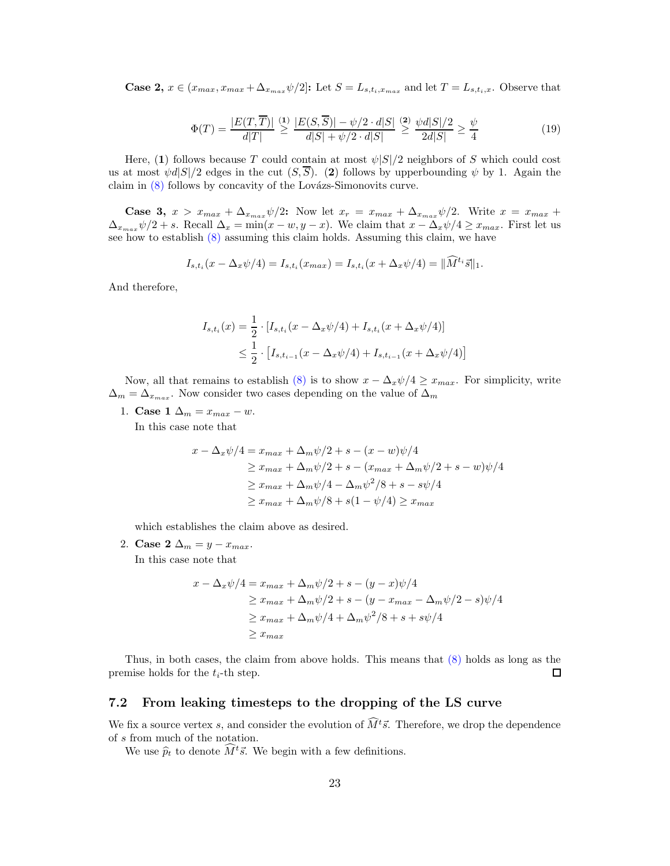**Case 2,**  $x \in (x_{max}, x_{max} + \Delta_{x_{max}} \psi/2]$ : Let  $S = L_{s,t_i,x_{max}}$  and let  $T = L_{s,t_i,x}$ . Observe that

$$
\Phi(T) = \frac{|E(T, \overline{T})|}{d|T|} \stackrel{(1)}{\geq} \frac{|E(S, \overline{S})| - \psi/2 \cdot d|S|}{d|S| + \psi/2 \cdot d|S|} \stackrel{(2)}{\geq} \frac{\psi d|S|/2}{2d|S|} \geq \frac{\psi}{4}
$$
\n(19)

Here, (1) follows because T could contain at most  $\psi|S|/2$  neighbors of S which could cost us at most  $\psi d|S|/2$  edges in the cut  $(S,\overline{S})$ . (2) follows by upperbounding  $\psi$  by 1. Again the claim in  $(8)$  follows by concavity of the Lovázs-Simonovits curve.

**Case 3,**  $x > x_{max} + \Delta_{x_{max}} \psi/2$ : Now let  $x_r = x_{max} + \Delta_{x_{max}} \psi/2$ . Write  $x = x_{max} + \Delta_{x_{max}} \psi/2$  $\Delta_{x_{max}} \psi/2 + s$ . Recall  $\Delta_x = \min(x - w, y - x)$ . We claim that  $x - \Delta_x \psi/4 \ge x_{max}$ . First let us see how to establish  $(8)$  assuming this claim holds. Assuming this claim, we have

$$
I_{s,t_i}(x - \Delta_x \psi/4) = I_{s,t_i}(x_{max}) = I_{s,t_i}(x + \Delta_x \psi/4) = ||\widehat{M}^{t_i}\vec{s}||_1.
$$

And therefore,

$$
I_{s,t_i}(x) = \frac{1}{2} \cdot [I_{s,t_i}(x - \Delta_x \psi/4) + I_{s,t_i}(x + \Delta_x \psi/4)]
$$
  

$$
\leq \frac{1}{2} \cdot [I_{s,t_{i-1}}(x - \Delta_x \psi/4) + I_{s,t_{i-1}}(x + \Delta_x \psi/4)]
$$

Now, all that remains to establish [\(8\)](#page-22-2) is to show  $x - \Delta_x \psi/4 \geq x_{max}$ . For simplicity, write  $\Delta_m = \Delta_{x_{max}}$ . Now consider two cases depending on the value of  $\Delta_m$ 

1. Case 1  $\Delta_m = x_{max} - w$ .

In this case note that

$$
x - \Delta_x \psi/4 = x_{max} + \Delta_m \psi/2 + s - (x - w)\psi/4
$$
  
\n
$$
\geq x_{max} + \Delta_m \psi/2 + s - (x_{max} + \Delta_m \psi/2 + s - w)\psi/4
$$
  
\n
$$
\geq x_{max} + \Delta_m \psi/4 - \Delta_m \psi^2/8 + s - s\psi/4
$$
  
\n
$$
\geq x_{max} + \Delta_m \psi/8 + s(1 - \psi/4) \geq x_{max}
$$

which establishes the claim above as desired.

2. Case 2  $\Delta_m = y - x_{max}$ . In this case note that

$$
x - \Delta_x \psi/4 = x_{max} + \Delta_m \psi/2 + s - (y - x)\psi/4
$$
  
\n
$$
\geq x_{max} + \Delta_m \psi/2 + s - (y - x_{max} - \Delta_m \psi/2 - s)\psi/4
$$
  
\n
$$
\geq x_{max} + \Delta_m \psi/4 + \Delta_m \psi^2/8 + s + s\psi/4
$$
  
\n
$$
\geq x_{max}
$$

Thus, in both cases, the claim from above holds. This means that [\(8\)](#page-22-2) holds as long as the premise holds for the  $t_i$ -th step.  $\Box$ 

#### 7.2 From leaking timesteps to the dropping of the LS curve

We fix a source vertex s, and consider the evolution of  $\widehat{M}^t\vec{s}$ . Therefore, we drop the dependence of s from much of the notation.

We use  $\hat{p}_t$  to denote  $\widehat{M}^t\vec{s}$ . We begin with a few definitions.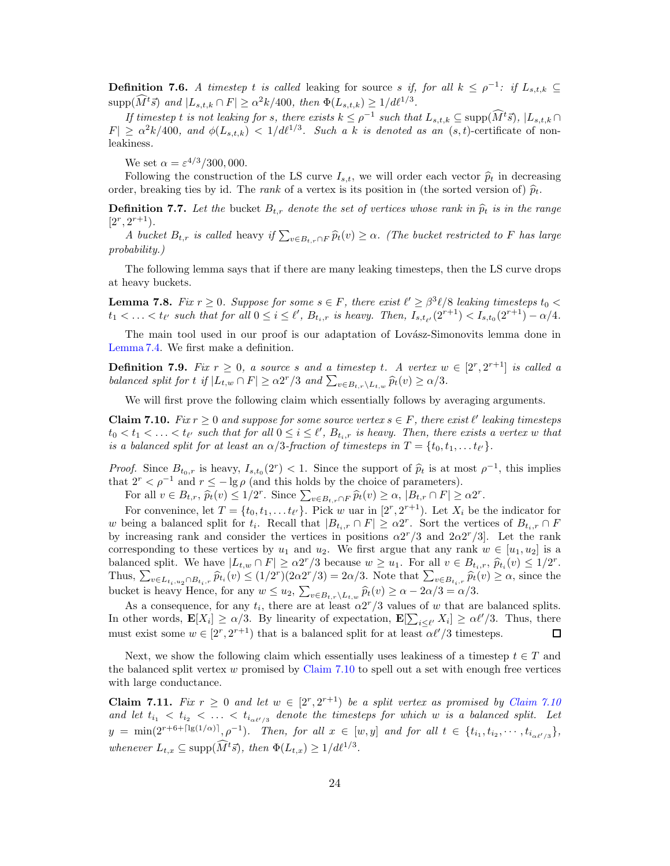<span id="page-24-1"></span>**Definition 7.6.** A timestep t is called leaking for source s if, for all  $k \leq \rho^{-1}$ : if  $L_{s,t,k} \subseteq$  $\text{supp}(\widehat{M}^t\vec{s})$  and  $|L_{s,t,k} \cap F| \ge \alpha^2k/400$ , then  $\Phi(L_{s,t,k}) \ge 1/d\ell^{1/3}$ .

If timestep t is not leaking for s, there exists  $k \leq \rho^{-1}$  such that  $L_{s,t,k} \subseteq \text{supp}(\tilde{M}^t\tilde{s})$ ,  $|L_{s,t,k} \cap$  $|F| \ge \alpha^2 k/400$ , and  $\phi(L_{s,t,k}) < 1/d\ell^{1/3}$ . Such a k is denoted as an  $(s,t)$ -certificate of nonleakiness.

We set  $\alpha = \varepsilon^{4/3}/300,000$ .

Following the construction of the LS curve  $I_{s,t}$ , we will order each vector  $\hat{p}_t$  in decreasing order, breaking ties by id. The *rank* of a vertex is its position in (the sorted version of)  $\hat{p}_t$ .

**Definition 7.7.** Let the bucket  $B_{t,r}$  denote the set of vertices whose rank in  $\hat{p}_t$  is in the range  $[2^r, 2^{r+1}).$ 

A bucket  $B_{t,r}$  is called heavy if  $\sum_{v \in B_{t,r} \cap F} \widehat{p}_t(v) \geq \alpha$ . (The bucket restricted to F has large probability.)

The following lemma says that if there are many leaking timesteps, then the LS curve drops at heavy buckets.

<span id="page-24-2"></span>**Lemma 7.8.** Fix  $r \geq 0$ . Suppose for some  $s \in F$ , there exist  $\ell' \geq \beta^3 \ell/8$  leaking timesteps  $t_0 <$  $t_1 < \ldots < t_{\ell'}$  such that for all  $0 \le i \le \ell'$ ,  $B_{t_i,r}$  is heavy. Then,  $I_{s,t_{\ell'}}(2^{r+1}) < I_{s,t_0}(2^{r+1}) - \alpha/4$ .

The main tool used in our proof is our adaptation of Lovász-Simonovits lemma done in [Lemma 7.4.](#page-21-0) We first make a definition.

**Definition 7.9.** Fix  $r \geq 0$ , a source s and a timestep t. A vertex  $w \in [2^r, 2^{r+1}]$  is called a balanced split for t if  $|L_{t,w} \cap F| \ge \alpha 2^r/3$  and  $\sum_{v \in B_{t,r} \setminus L_{t,w}} \widehat{p}_t(v) \ge \alpha/3$ .

We will first prove the following claim which essentially follows by averaging arguments.

<span id="page-24-0"></span>**Claim 7.10.** Fix  $r \geq 0$  and suppose for some source vertex  $s \in F$ , there exist  $\ell'$  leaking timesteps  $t_0 < t_1 < \ldots < t_{\ell'}$  such that for all  $0 \leq i \leq \ell'$ ,  $B_{t_i,r}$  is heavy. Then, there exists a vertex w that is a balanced split for at least an  $\alpha/3$ -fraction of timesteps in  $T = \{t_0, t_1, \ldots t_{\ell'}\}.$ 

*Proof.* Since  $B_{t_0,r}$  is heavy,  $I_{s,t_0}(2^r) < 1$ . Since the support of  $\hat{p}_t$  is at most  $\rho^{-1}$ , this implies that  $2^r < \rho^{-1}$  and  $r \le -\lg \rho$  (and this holds by the choice of parameters).

For all  $v \in B_{t,r}$ ,  $\widehat{p}_t(v) \leq 1/2^r$ . Since  $\sum_{v \in B_{t,r} \cap F} \widehat{p}_t(v) \geq \alpha$ ,  $|B_{t,r} \cap F| \geq \alpha 2^r$ .

For convenince, let  $T = \{t_0, t_1, \ldots t_{\ell'}\}$ . Pick w uar in  $[2^r, 2^{r+1})$ . Let  $X_i$  be the indicator for w being a balanced split for  $t_i$ . Recall that  $|B_{t_i,r} \cap F| \ge \alpha 2^r$ . Sort the vertices of  $B_{t_i,r} \cap F$ by increasing rank and consider the vertices in positions  $\alpha 2^r/3$  and  $2\alpha 2^r/3$ . Let the rank corresponding to these vertices by  $u_1$  and  $u_2$ . We first argue that any rank  $w \in [u_1, u_2]$  is a balanced split. We have  $|L_{t,w} \cap F| \ge \alpha 2^r/3$  because  $w \ge u_1$ . For all  $v \in B_{t_i,r}, \hat{p}_{t_i}(v) \le 1/2^r$ . Thus,  $\sum_{v \in L_{t_i,u_2} \cap B_{t_i,r}} \hat{p}_{t_i}(v) \leq (1/2^r)(2\alpha 2^r/3) = 2\alpha/3$ . Note that  $\sum_{v \in B_{t_i,r}} \hat{p}_t(v) \geq \alpha$ , since the bucket is heavy Hence, for any  $w \leq u_2$ ,  $\sum_{v \in B_{t,r} \setminus L_{t,w}} \widehat{p}_t(v) \geq \alpha - 2\alpha/3 = \alpha/3$ .

As a consequence, for any  $t_i$ , there are at least  $\alpha 2^r/3$  values of w that are balanced splits. In other words,  $\mathbf{E}[X_i] \ge \alpha/3$ . By linearity of expectation,  $\mathbf{E}[\sum_{i \le \ell'} X_i] \ge \alpha \ell'/3$ . Thus, there must exist some  $w \in [2^r, 2^{r+1})$  that is a balanced split for at least  $\alpha \ell'/3$  timesteps.  $\Box$ 

Next, we show the following claim which essentially uses leakiness of a timestep  $t \in T$  and the balanced split vertex  $w$  promised by [Claim 7.10](#page-24-0) to spell out a set with enough free vertices with large conductance.

<span id="page-24-3"></span>**Claim 7.11.** Fix  $r \geq 0$  and let  $w \in [2^r, 2^{r+1})$  be a split vertex as promised by [Claim 7.10](#page-24-0) and let  $t_{i_1} < t_{i_2} < \ldots < t_{i_{\alpha\ell'/3}}$  denote the timesteps for which w is a balanced split. Let  $y = \min(2^{r+6+\lceil\lg(1/\alpha)\rceil}, \rho^{-1}).$  Then, for all  $x \in [w, y]$  and for all  $t \in \{t_{i_1}, t_{i_2}, \cdots, t_{i_{\alpha\ell'/3}}\},$ whenever  $L_{t,x} \subseteq \text{supp}(\widehat{M}^t\vec{s}), \text{ then } \Phi(L_{t,x}) \geq 1/d\ell^{1/3}.$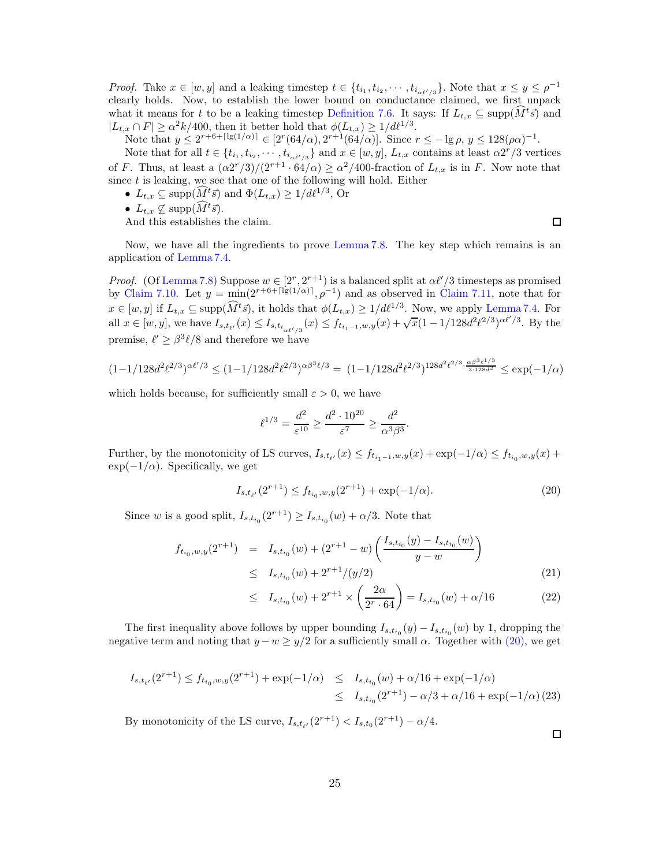*Proof.* Take  $x \in [w, y]$  and a leaking timestep  $t \in \{t_{i_1}, t_{i_2}, \cdots, t_{i_{\alpha\ell'/3}}\}$ . Note that  $x \leq y \leq \rho^{-1}$ clearly holds. Now, to establish the lower bound on conductance claimed, we first unpack what it means for t to be a leaking timestep [Definition 7.6.](#page-24-1) It says: If  $L_{t,x} \subseteq \text{supp}(M^{t}\bar{s})$  and  $|L_{t,x} \cap F| \ge \alpha^2 k/400$ , then it better hold that  $\phi(L_{t,x}) \ge 1/d\ell^{1/3}$ .

Note that  $y \le 2^{r+6+\lceil \lg(1/\alpha) \rceil} \in [2^r(64/\alpha), 2^{r+1}(64/\alpha)]$ . Since  $r \le -\lg \rho, y \le 128(\rho\alpha)^{-1}$ .

Note that for all  $t \in \{t_{i_1}, t_{i_2}, \cdots, t_{i_{\alpha\ell'/3}}\}$  and  $x \in [w, y]$ ,  $L_{t,x}$  contains at least  $\alpha 2^r/3$  vertices of F. Thus, at least a  $(\alpha 2^{r}/3)/(2^{r+1} \cdot 64/\alpha) \ge \alpha^2/400$ -fraction of  $L_{t,x}$  is in F. Now note that since  $t$  is leaking, we see that one of the following will hold. Either

- $L_{t,x} \subseteq \text{supp}(\widehat{M}^t\vec{s})$  and  $\Phi(L_{t,x}) \geq 1/d\ell^{1/3}$ , Or
- $L_{t,x} \nsubseteq \text{supp}(\widehat{M}^t \vec{s}).$

And this establishes the claim.

 $\Box$ 

Now, we have all the ingredients to prove [Lemma 7.8.](#page-24-2) The key step which remains is an application of [Lemma 7.4.](#page-21-0)

*Proof.* (Of [Lemma 7.8\)](#page-24-2) Suppose  $w \in [2^r, 2^{r+1})$  is a balanced split at  $\alpha \ell'/3$  timesteps as promised by [Claim 7.10.](#page-24-0) Let  $y = \min(2^{r+6+\lceil \lg(1/\alpha) \rceil}, \rho^{-1})$  and as observed in [Claim 7.11,](#page-24-3) note that for  $x \in [w, y]$  if  $L_{t,x} \subseteq \text{supp}(\hat{M}^t\vec{s})$ , it holds that  $\phi(L_{t,x}) \geq 1/d\ell^{1/3}$ . Now, we apply [Lemma 7.4.](#page-21-0) For all  $x \in [w, y]$ , we have  $I_{s,t_{\ell'}}(x) \leq I_{s,t_{i_{\alpha\ell'/3}}}(x) \leq f_{t_{i_1-1},w,y}(x) + \sqrt{x}(1-1/128d^2\ell^{2/3})^{\alpha\ell'/3}$ . By the premise,  $\ell' \geq \beta^3 \ell/8$  and therefore we have

$$
(1-1/128d^2\ell^{2/3})^{\alpha\ell'/3}\leq (1-1/128d^2\ell^{2/3})^{\alpha\beta^3\ell/3}=\ (1-1/128d^2\ell^{2/3})^{128d^2\ell^{2/3}\cdot\frac{\alpha\beta^3\ell^{1/3}}{3\cdot 128d^2}}\leq \exp(-1/\alpha)
$$

which holds because, for sufficiently small  $\varepsilon > 0$ , we have

$$
\ell^{1/3} = \frac{d^2}{\varepsilon^{10}} \ge \frac{d^2 \cdot 10^{20}}{\varepsilon^7} \ge \frac{d^2}{\alpha^3 \beta^3}.
$$

Further, by the monotonicity of LS curves,  $I_{s,t_{\ell'}}(x) \le f_{t_{i_1-1},w,y}(x) + \exp(-1/\alpha) \le f_{t_{i_0},w,y}(x) +$  $\exp(-1/\alpha)$ . Specifically, we get

<span id="page-25-0"></span>
$$
I_{s,t_{\ell'}}(2^{r+1}) \le f_{t_{i_0},w,y}(2^{r+1}) + \exp(-1/\alpha). \tag{20}
$$

Since w is a good split,  $I_{s,t_{i_0}}(2^{r+1}) \geq I_{s,t_{i_0}}(w) + \alpha/3$ . Note that

$$
f_{t_{i_0},w,y}(2^{r+1}) = I_{s,t_{i_0}}(w) + (2^{r+1} - w) \left( \frac{I_{s,t_{i_0}}(y) - I_{s,t_{i_0}}(w)}{y - w} \right)
$$
  
 
$$
\leq I_{s,t_{i_0}}(w) + 2^{r+1}/(y/2)
$$
 (21)

$$
\leq I_{s,t_{i_0}}(w) + 2^{r+1} \times \left(\frac{2\alpha}{2^r \cdot 64}\right) = I_{s,t_{i_0}}(w) + \alpha/16 \tag{22}
$$

The first inequality above follows by upper bounding  $I_{s,t_{i_0}}(y) - I_{s,t_{i_0}}(w)$  by 1, dropping the negative term and noting that  $y - w \ge y/2$  for a sufficiently small  $\alpha$ . Together with [\(20\),](#page-25-0) we get

$$
I_{s,t_{\ell'}}(2^{r+1}) \le f_{t_{i_0},w,y}(2^{r+1}) + \exp(-1/\alpha) \le I_{s,t_{i_0}}(w) + \alpha/16 + \exp(-1/\alpha)
$$
  

$$
\le I_{s,t_{i_0}}(2^{r+1}) - \alpha/3 + \alpha/16 + \exp(-1/\alpha) (23)
$$

By monotonicity of the LS curve,  $I_{s,t_{\ell'}}(2^{r+1}) < I_{s,t_0}(2^{r+1}) - \alpha/4$ .

 $\Box$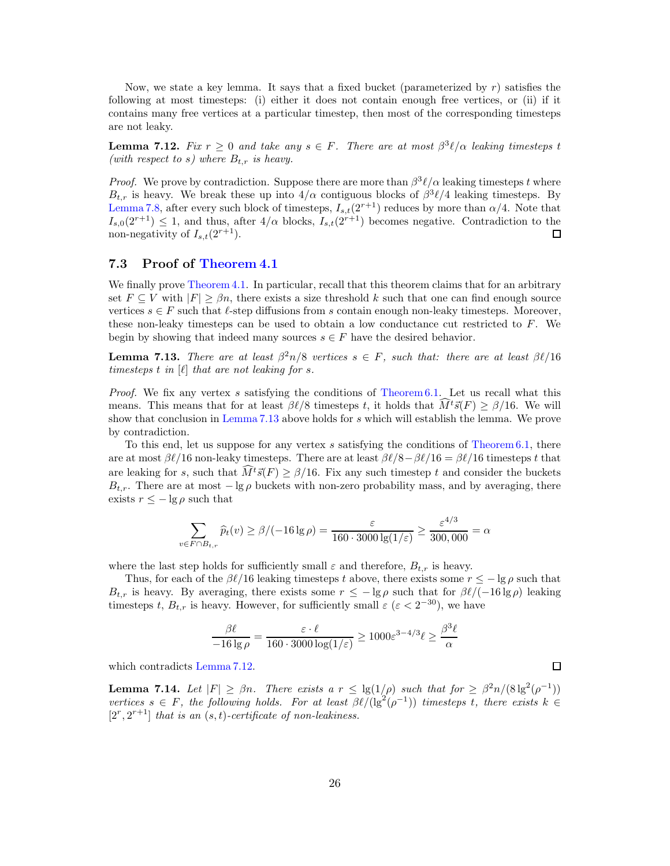Now, we state a key lemma. It says that a fixed bucket (parameterized by  $r$ ) satisfies the following at most timesteps: (i) either it does not contain enough free vertices, or (ii) if it contains many free vertices at a particular timestep, then most of the corresponding timesteps are not leaky.

<span id="page-26-1"></span>**Lemma 7.12.** Fix  $r \geq 0$  and take any  $s \in F$ . There are at most  $\beta^3 \ell/\alpha$  leaking timesteps t (with respect to s) where  $B_{t,r}$  is heavy.

*Proof.* We prove by contradiction. Suppose there are more than  $\beta^3 \ell / \alpha$  leaking timesteps t where  $B_{t,r}$  is heavy. We break these up into  $4/\alpha$  contiguous blocks of  $\beta^3 \ell/4$  leaking timesteps. By [Lemma 7.8,](#page-24-2) after every such block of timesteps,  $I_{s,t}(2^{r+1})$  reduces by more than  $\alpha/4$ . Note that  $I_{s,0}(2^{r+1}) \leq 1$ , and thus, after  $4/\alpha$  blocks,  $I_{s,t}(2^{r+1})$  becomes negative. Contradiction to the non-negativity of  $I_{s,t}(2^{r+1})$ . non-negativity of  $I_{s,t}(2^{r+1})$ .

#### 7.3 Proof of [Theorem 4.1](#page-11-1)

We finally prove [Theorem 4.1.](#page-11-1) In particular, recall that this theorem claims that for an arbitrary set  $F \subseteq V$  with  $|F| \geq \beta n$ , there exists a size threshold k such that one can find enough source vertices  $s \in F$  such that  $\ell$ -step diffusions from s contain enough non-leaky timesteps. Moreover, these non-leaky timesteps can be used to obtain a low conductance cut restricted to  $F$ . We begin by showing that indeed many sources  $s \in F$  have the desired behavior.

<span id="page-26-0"></span>**Lemma 7.13.** There are at least  $\beta^2 n/8$  vertices  $s \in F$ , such that: there are at least  $\beta \ell/16$ timesteps t in  $[\ell]$  that are not leaking for s.

*Proof.* We fix any vertex s satisfying the conditions of [Theorem 6.1.](#page-18-1) Let us recall what this means. This means that for at least  $\beta\ell/8$  timesteps t, it holds that  $M^{t}\vec{s}(F) \geq \beta/16$ . We will show that conclusion in [Lemma 7.13](#page-26-0) above holds for s which will establish the lemma. We prove by contradiction.

To this end, let us suppose for any vertex s satisfying the conditions of [Theorem 6.1,](#page-18-1) there are at most  $\beta\ell/16$  non-leaky timesteps. There are at least  $\beta\ell/8-\beta\ell/16=\beta\ell/16$  timesteps t that are leaking for s, such that  $\widehat{M}^t \vec{s}(F) \geq \beta/16$ . Fix any such timestep t and consider the buckets  $B_{t,r}$ . There are at most  $-\lg \rho$  buckets with non-zero probability mass, and by averaging, there exists  $r \leq -\lg \rho$  such that

$$
\sum_{v \in F \cap B_{t,r}} \widehat{p}_t(v) \ge \beta/(-16\lg\rho) = \frac{\varepsilon}{160 \cdot 3000 \lg(1/\varepsilon)} \ge \frac{\varepsilon^{4/3}}{300,000} = \alpha
$$

where the last step holds for sufficiently small  $\varepsilon$  and therefore,  $B_{t,r}$  is heavy.

Thus, for each of the  $\beta\ell/16$  leaking timesteps t above, there exists some  $r \leq -\lg \rho$  such that  $B_{t,r}$  is heavy. By averaging, there exists some  $r \leq -\lg \rho$  such that for  $\beta\ell/(-16\lg \rho)$  leaking timesteps t,  $B_{t,r}$  is heavy. However, for sufficiently small  $\varepsilon$  ( $\varepsilon < 2^{-30}$ ), we have

$$
\frac{\beta \ell}{-16 \lg \rho} = \frac{\varepsilon \cdot \ell}{160 \cdot 3000 \log(1/\varepsilon)} \ge 1000 \varepsilon^{3-4/3} \ell \ge \frac{\beta^3 \ell}{\alpha}
$$

which contradicts [Lemma 7.12.](#page-26-1)

<span id="page-26-2"></span>**Lemma 7.14.** Let  $|F| \geq \beta n$ . There exists a  $r \leq \lg(1/\rho)$  such that for  $\geq \beta^2 n/(8 \lg^2(\rho^{-1}))$ vertices  $s \in F$ , the following holds. For at least  $\beta \ell/(\lg^2(\rho^{-1}))$  timesteps t, there exists  $k \in$  $[2^r, 2^{r+1}]$  that is an  $(s, t)$ -certificate of non-leakiness.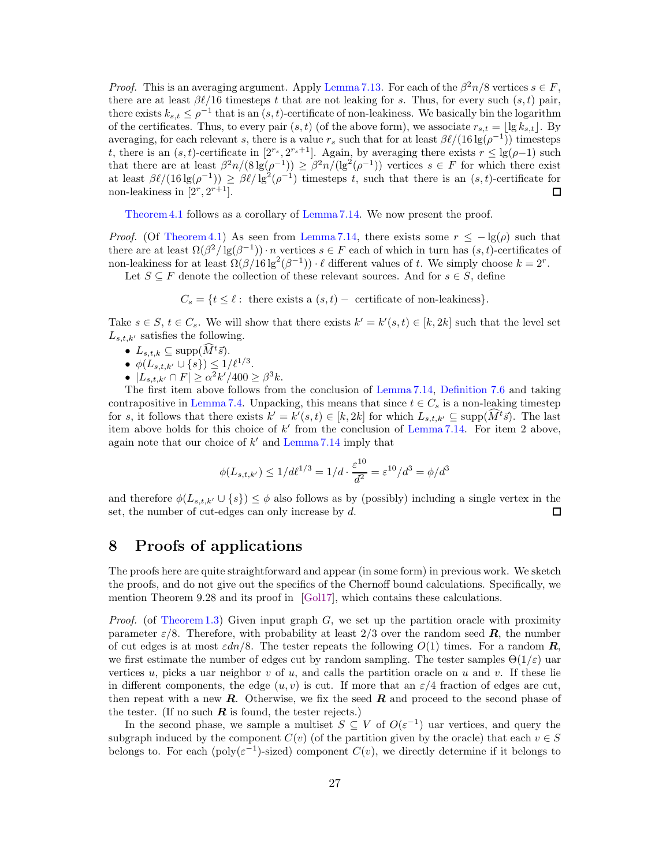<span id="page-27-1"></span>*Proof.* This is an averaging argument. Apply [Lemma 7.13.](#page-26-0) For each of the  $\beta^2 n/8$  vertices  $s \in F$ , there are at least  $\beta\ell/16$  timesteps t that are not leaking for s. Thus, for every such  $(s, t)$  pair, there exists  $k_{s,t} \leq \rho^{-1}$  that is an  $(s,t)$ -certificate of non-leakiness. We basically bin the logarithm of the certificates. Thus, to every pair  $(s, t)$  (of the above form), we associate  $r_{s,t} = |\lg k_{s,t}|$ . By averaging, for each relevant s, there is a value  $r_s$  such that for at least  $\beta\ell/(16\lg(\rho^{-1}))$  timesteps t, there is an  $(s, t)$ -certificate in  $[2^{r_s}, 2^{r_s+1}]$ . Again, by averaging there exists  $r \leq \lg(\rho-1)$  such that there are at least  $\beta^2 n/(8 \lg(\rho^{-1})) \geq \beta^2 n/(\lg^2(\rho^{-1}))$  vertices  $s \in F$  for which there exist at least  $\beta\ell/(16\lg(\rho^{-1})) \geq \beta\ell/\lg^2(\rho^{-1})$  timesteps t, such that there is an  $(s,t)$ -certificate for non-leakiness in  $[2^r, 2^{r+1}]$ .  $\Box$ 

[Theorem 4.1](#page-11-1) follows as a corollary of [Lemma 7.14.](#page-26-2) We now present the proof.

*Proof.* (Of [Theorem 4.1\)](#page-11-1) As seen from [Lemma 7.14,](#page-26-2) there exists some  $r \le -\lg(\rho)$  such that there are at least  $\Omega(\beta^2/\lg(\beta^{-1}))\cdot n$  vertices  $s \in F$  each of which in turn has  $(s, t)$ -certificates of non-leakiness for at least  $\Omega(\beta/16 \lg^2(\beta^{-1})) \cdot \ell$  different values of t. We simply choose  $k = 2^r$ .

Let  $S \subseteq F$  denote the collection of these relevant sources. And for  $s \in S$ , define

 $C_s = \{t \leq \ell : \text{ there exists a } (s, t) - \text{ certificate of non-leakiness}\}.$ 

Take  $s \in S$ ,  $t \in C_s$ . We will show that there exists  $k' = k'(s, t) \in [k, 2k]$  such that the level set  $L_{s,t,k'}$  satisfies the following.

- $L_{s,t,k} \subseteq \text{supp}(\widehat{M}^t \vec{s}).$
- $\phi(L_{s,t,k'} \cup \{s\}) \leq 1/\ell^{1/3}$ .
- $|L_{s,t,k'} \cap F| \ge \alpha^2 k'/400 \ge \beta^3 k.$

The first item above follows from the conclusion of [Lemma 7.14,](#page-26-2) [Definition 7.6](#page-24-1) and taking contrapositive in [Lemma 7.4.](#page-21-0) Unpacking, this means that since  $t \in C_s$  is a non-leaking timestep for s, it follows that there exists  $k' = k'(s,t) \in [k,2k]$  for which  $L_{s,t,k'} \subseteq \text{supp}(\tilde{M}^t\vec{s})$ . The last item above holds for this choice of  $k'$  from the conclusion of [Lemma 7.14.](#page-26-2) For item 2 above, again note that our choice of  $k'$  and [Lemma 7.14](#page-26-2) imply that

$$
\phi(L_{s,t,k'}) \le 1/d\ell^{1/3} = 1/d \cdot \frac{\varepsilon^{10}}{d^2} = \varepsilon^{10}/d^3 = \phi/d^3
$$

and therefore  $\phi(L_{s,t,k'} \cup \{s\}) \leq \phi$  also follows as by (possibly) including a single vertex in the set, the number of cut-edges can only increase by d. set, the number of cut-edges can only increase by d.

### <span id="page-27-0"></span>8 Proofs of applications

The proofs here are quite straightforward and appear (in some form) in previous work. We sketch the proofs, and do not give out the specifics of the Chernoff bound calculations. Specifically, we mention Theorem 9.28 and its proof in [\[Gol17\]](#page-29-10), which contains these calculations.

*Proof.* (of [Theorem 1.3\)](#page-2-1) Given input graph  $G$ , we set up the partition oracle with proximity parameter  $\varepsilon/8$ . Therefore, with probability at least 2/3 over the random seed **R**, the number of cut edges is at most  $\varepsilon dn/8$ . The tester repeats the following  $O(1)$  times. For a random **R**, we first estimate the number of edges cut by random sampling. The tester samples  $\Theta(1/\varepsilon)$  uar vertices u, picks a uar neighbor v of u, and calls the partition oracle on u and v. If these lie in different components, the edge  $(u, v)$  is cut. If more that an  $\varepsilon/4$  fraction of edges are cut, then repeat with a new  $R$ . Otherwise, we fix the seed  $R$  and proceed to the second phase of the tester. (If no such  $\boldsymbol{R}$  is found, the tester rejects.)

In the second phase, we sample a multiset  $S \subseteq V$  of  $O(\varepsilon^{-1})$  uar vertices, and query the subgraph induced by the component  $C(v)$  (of the partition given by the oracle) that each  $v \in S$ belongs to. For each ( $poly(\varepsilon^{-1})$ -sized) component  $C(v)$ , we directly determine if it belongs to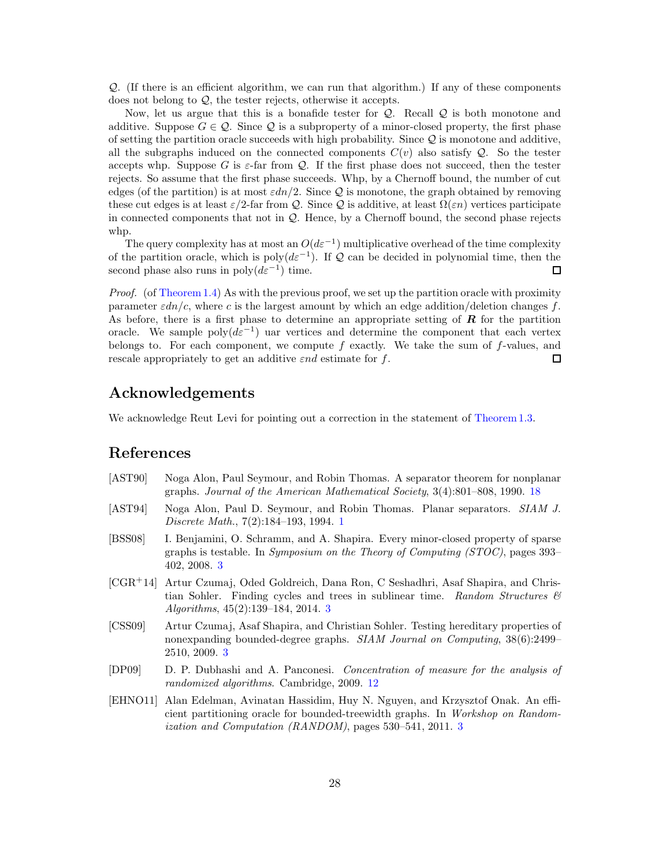Q. (If there is an efficient algorithm, we can run that algorithm.) If any of these components does not belong to Q, the tester rejects, otherwise it accepts.

Now, let us argue that this is a bonafide tester for Q. Recall Q is both monotone and additive. Suppose  $G \in \mathcal{Q}$ . Since  $\mathcal{Q}$  is a subproperty of a minor-closed property, the first phase of setting the partition oracle succeeds with high probability. Since Q is monotone and additive, all the subgraphs induced on the connected components  $C(v)$  also satisfy  $Q$ . So the tester accepts whp. Suppose G is  $\varepsilon$ -far from Q. If the first phase does not succeed, then the tester rejects. So assume that the first phase succeeds. Whp, by a Chernoff bound, the number of cut edges (of the partition) is at most  $\varepsilon dn/2$ . Since Q is monotone, the graph obtained by removing these cut edges is at least  $\varepsilon/2$ -far from Q. Since Q is additive, at least  $\Omega(\varepsilon n)$  vertices participate in connected components that not in Q. Hence, by a Chernoff bound, the second phase rejects whp.

The query complexity has at most an  $O(d\varepsilon^{-1})$  multiplicative overhead of the time complexity of the partition oracle, which is poly $(d\varepsilon^{-1})$ . If Q can be decided in polynomial time, then the second phase also runs in  $\text{poly}(d\varepsilon^{-1})$  time.

Proof. (of [Theorem 1.4\)](#page-2-2) As with the previous proof, we set up the partition oracle with proximity parameter  $\varepsilon dn/c$ , where c is the largest amount by which an edge addition/deletion changes f. As before, there is a first phase to determine an appropriate setting of  $\bf{R}$  for the partition oracle. We sample  $\text{poly}(d\varepsilon^{-1})$  uar vertices and determine the component that each vertex belongs to. For each component, we compute  $f$  exactly. We take the sum of  $f$ -values, and rescale appropriately to get an additive  $\varepsilon nd$  estimate for f.  $\Box$ 

### Acknowledgements

We acknowledge Reut Levi for pointing out a correction in the statement of [Theorem 1.3.](#page-2-1)

### References

- <span id="page-28-6"></span>[AST90] Noga Alon, Paul Seymour, and Robin Thomas. A separator theorem for nonplanar graphs. Journal of the American Mathematical Society, 3(4):801–808, 1990. [18](#page-18-4)
- <span id="page-28-0"></span>[AST94] Noga Alon, Paul D. Seymour, and Robin Thomas. Planar separators. SIAM J. Discrete Math., 7(2):184–193, 1994. [1](#page-1-1)
- <span id="page-28-2"></span>[BSS08] I. Benjamini, O. Schramm, and A. Shapira. Every minor-closed property of sparse graphs is testable. In Symposium on the Theory of Computing (STOC), pages 393– 402, 2008. [3](#page-3-0)
- <span id="page-28-3"></span>[CGR<sup>+</sup>14] Artur Czumaj, Oded Goldreich, Dana Ron, C Seshadhri, Asaf Shapira, and Christian Sohler. Finding cycles and trees in sublinear time. Random Structures  $\mathcal{B}$ Algorithms, 45(2):139–184, 2014. [3](#page-3-0)
- <span id="page-28-1"></span>[CSS09] Artur Czumaj, Asaf Shapira, and Christian Sohler. Testing hereditary properties of nonexpanding bounded-degree graphs. SIAM Journal on Computing, 38(6):2499– 2510, 2009. [3](#page-3-0)
- <span id="page-28-5"></span>[DP09] D. P. Dubhashi and A. Panconesi. Concentration of measure for the analysis of randomized algorithms. Cambridge, 2009. [12](#page-12-4)
- <span id="page-28-4"></span>[EHNO11] Alan Edelman, Avinatan Hassidim, Huy N. Nguyen, and Krzysztof Onak. An efficient partitioning oracle for bounded-treewidth graphs. In Workshop on Randomization and Computation (RANDOM), pages 530–541, 2011. [3](#page-3-0)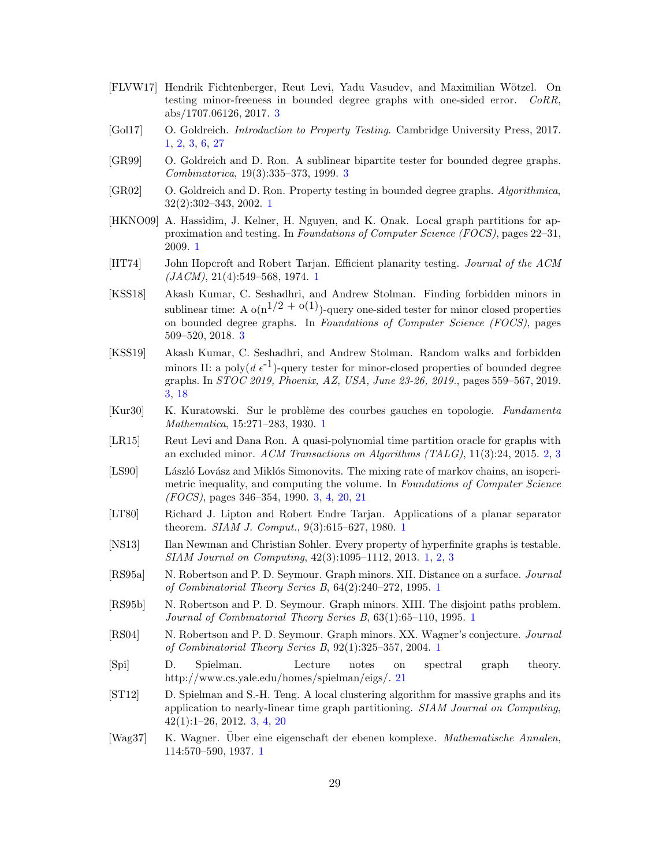- <span id="page-29-17"></span>[FLVW17] Hendrik Fichtenberger, Reut Levi, Yadu Vasudev, and Maximilian Wötzel. On testing minor-freeness in bounded degree graphs with one-sided error. CoRR, abs/1707.06126, 2017. [3](#page-3-0)
- <span id="page-29-10"></span>[Gol17] O. Goldreich. Introduction to Property Testing. Cambridge University Press, 2017. [1,](#page-1-1) [2,](#page-2-4) [3,](#page-3-0) [6,](#page-6-1) [27](#page-27-1)
- <span id="page-29-14"></span>[GR99] O. Goldreich and D. Ron. A sublinear bipartite tester for bounded degree graphs. Combinatorica, 19(3):335–373, 1999. [3](#page-3-0)
- <span id="page-29-7"></span>[GR02] O. Goldreich and D. Ron. Property testing in bounded degree graphs. Algorithmica, 32(2):302–343, 2002. [1](#page-1-1)
- <span id="page-29-8"></span>[HKNO09] A. Hassidim, J. Kelner, H. Nguyen, and K. Onak. Local graph partitions for approximation and testing. In Foundations of Computer Science (FOCS), pages 22–31, 2009. [1](#page-1-1)
- <span id="page-29-2"></span>[HT74] John Hopcroft and Robert Tarjan. Efficient planarity testing. Journal of the ACM  $(JACM), 21(4):549-568, 1974.$  $(JACM), 21(4):549-568, 1974.$  $(JACM), 21(4):549-568, 1974.$  1
- <span id="page-29-12"></span>[KSS18] Akash Kumar, C. Seshadhri, and Andrew Stolman. Finding forbidden minors in sublinear time: A  $o(n^{1/2} + o(1))$ -query one-sided tester for minor closed properties on bounded degree graphs. In Foundations of Computer Science (FOCS), pages 509–520, 2018. [3](#page-3-0)
- <span id="page-29-13"></span>[KSS19] Akash Kumar, C. Seshadhri, and Andrew Stolman. Random walks and forbidden minors II: a poly $(d \epsilon^{-1})$ -query tester for minor-closed properties of bounded degree graphs. In STOC 2019, Phoenix, AZ, USA, June 23-26, 2019., pages 559–567, 2019. [3,](#page-3-0) [18](#page-18-4)
- <span id="page-29-0"></span>[Kur30] K. Kuratowski. Sur le problème des courbes gauches en topologie. Fundamenta Mathematica, 15:271–283, 1930. [1](#page-1-1)
- <span id="page-29-11"></span>[LR15] Reut Levi and Dana Ron. A quasi-polynomial time partition oracle for graphs with an excluded minor. ACM Transactions on Algorithms (TALG), 11(3):24, 2015. [2,](#page-2-4) [3](#page-3-0)
- <span id="page-29-16"></span>[LS90] László Lovász and Miklós Simonovits. The mixing rate of markov chains, an isoperimetric inequality, and computing the volume. In Foundations of Computer Science (FOCS), pages 346–354, 1990. [3,](#page-3-0) [4,](#page-4-0) [20,](#page-20-3) [21](#page-21-2)
- <span id="page-29-3"></span>[LT80] Richard J. Lipton and Robert Endre Tarjan. Applications of a planar separator theorem. SIAM J. Comput., 9(3):615–627, 1980. [1](#page-1-1)
- <span id="page-29-9"></span>[NS13] Ilan Newman and Christian Sohler. Every property of hyperfinite graphs is testable. SIAM Journal on Computing, 42(3):1095–1112, 2013. [1,](#page-1-1) [2,](#page-2-4) [3](#page-3-0)
- <span id="page-29-4"></span>[RS95a] N. Robertson and P. D. Seymour. Graph minors. XII. Distance on a surface. Journal of Combinatorial Theory Series B, 64(2):240–272, 1995. [1](#page-1-1)
- <span id="page-29-5"></span>[RS95b] N. Robertson and P. D. Seymour. Graph minors. XIII. The disjoint paths problem. Journal of Combinatorial Theory Series B, 63(1):65–110, 1995. [1](#page-1-1)
- <span id="page-29-6"></span>[RS04] N. Robertson and P. D. Seymour. Graph minors. XX. Wagner's conjecture. Journal of Combinatorial Theory Series B, 92(1):325–357, 2004. [1](#page-1-1)
- <span id="page-29-18"></span>[Spi] D. Spielman. Lecture notes on spectral graph theory. http://www.cs.yale.edu/homes/spielman/eigs/. [21](#page-21-2)
- <span id="page-29-15"></span>[ST12] D. Spielman and S.-H. Teng. A local clustering algorithm for massive graphs and its application to nearly-linear time graph partitioning. SIAM Journal on Computing, 42(1):1–26, 2012. [3,](#page-3-0) [4,](#page-4-0) [20](#page-20-3)
- <span id="page-29-1"></span>[Wag37] K. Wagner. Über eine eigenschaft der ebenen komplexe. Mathematische Annalen, 114:570–590, 1937. [1](#page-1-1)